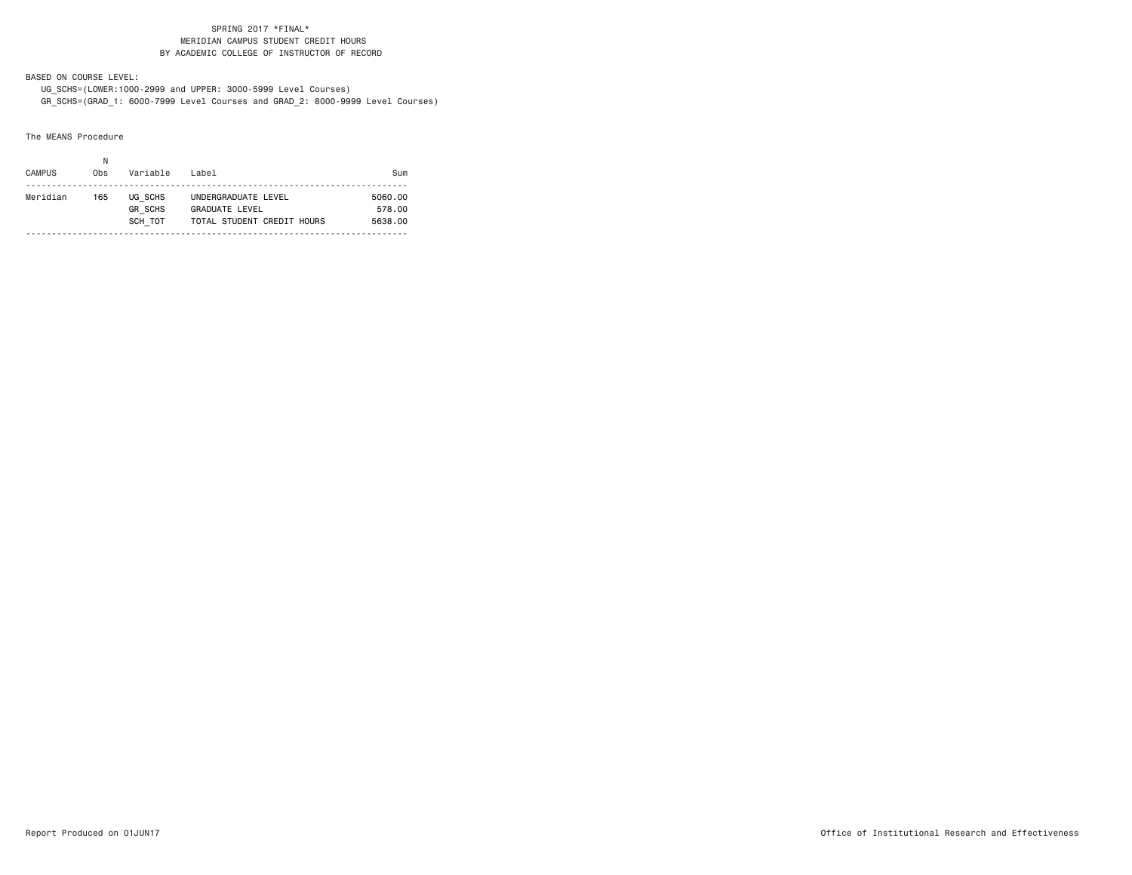### SPRING 2017 \*FINAL\* MERIDIAN CAMPUS STUDENT CREDIT HOURSBY ACADEMIC COLLEGE OF INSTRUCTOR OF RECORD

BASED ON COURSE LEVEL:

 UG\_SCHS=(LOWER:1000-2999 and UPPER: 3000-5999 Level Courses) GR\_SCHS=(GRAD\_1: 6000-7999 Level Courses and GRAD\_2: 8000-9999 Level Courses)

The MEANS Procedure

| <b>CAMPUS</b><br>Variable<br>Label<br>0bs<br>Sum<br>Meridian<br>UG SCHS<br>UNDERGRADUATE LEVEL<br>5060.00<br>165<br><b>GR SCHS</b><br><b>GRADUATE LEVEL</b><br>578.00<br>SCH TOT<br>TOTAL STUDENT CREDIT HOURS<br>5638.00 | Ν |  |  |
|---------------------------------------------------------------------------------------------------------------------------------------------------------------------------------------------------------------------------|---|--|--|
|                                                                                                                                                                                                                           |   |  |  |
|                                                                                                                                                                                                                           |   |  |  |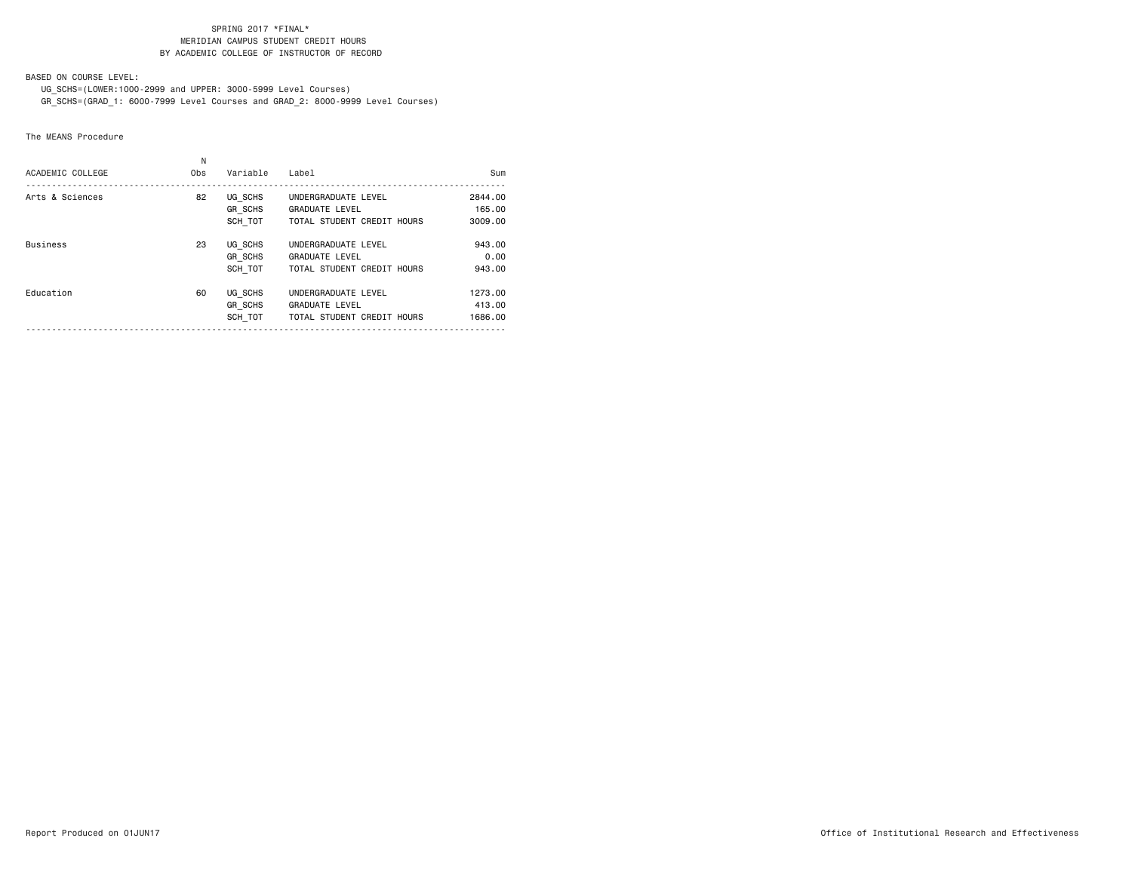### SPRING 2017 \*FINAL\* MERIDIAN CAMPUS STUDENT CREDIT HOURSBY ACADEMIC COLLEGE OF INSTRUCTOR OF RECORD

BASED ON COURSE LEVEL:

UG\_SCHS=(LOWER:1000-2999 and UPPER: 3000-5999 Level Courses)

GR\_SCHS=(GRAD\_1: 6000-7999 Level Courses and GRAD\_2: 8000-9999 Level Courses)

The MEANS Procedure

| ACADEMIC COLLEGE | N<br>0 <sub>bs</sub> | Variable                             | Label                                                                      | Sum                          |
|------------------|----------------------|--------------------------------------|----------------------------------------------------------------------------|------------------------------|
| Arts & Sciences  | 82                   | UG SCHS<br><b>GR SCHS</b><br>SCH TOT | UNDERGRADUATE LEVEL<br><b>GRADUATE LEVEL</b><br>TOTAL STUDENT CREDIT HOURS | 2844.00<br>165.00<br>3009,00 |
| <b>Business</b>  | 23                   | UG SCHS<br><b>GR SCHS</b><br>SCH TOT | UNDERGRADUATE LEVEL<br><b>GRADUATE LEVEL</b><br>TOTAL STUDENT CREDIT HOURS | 943.00<br>0.00<br>943.00     |
| Education        | 60                   | UG SCHS<br><b>GR SCHS</b><br>SCH TOT | UNDERGRADUATE LEVEL<br><b>GRADUATE LEVEL</b><br>TOTAL STUDENT CREDIT HOURS | 1273.00<br>413.00<br>1686.00 |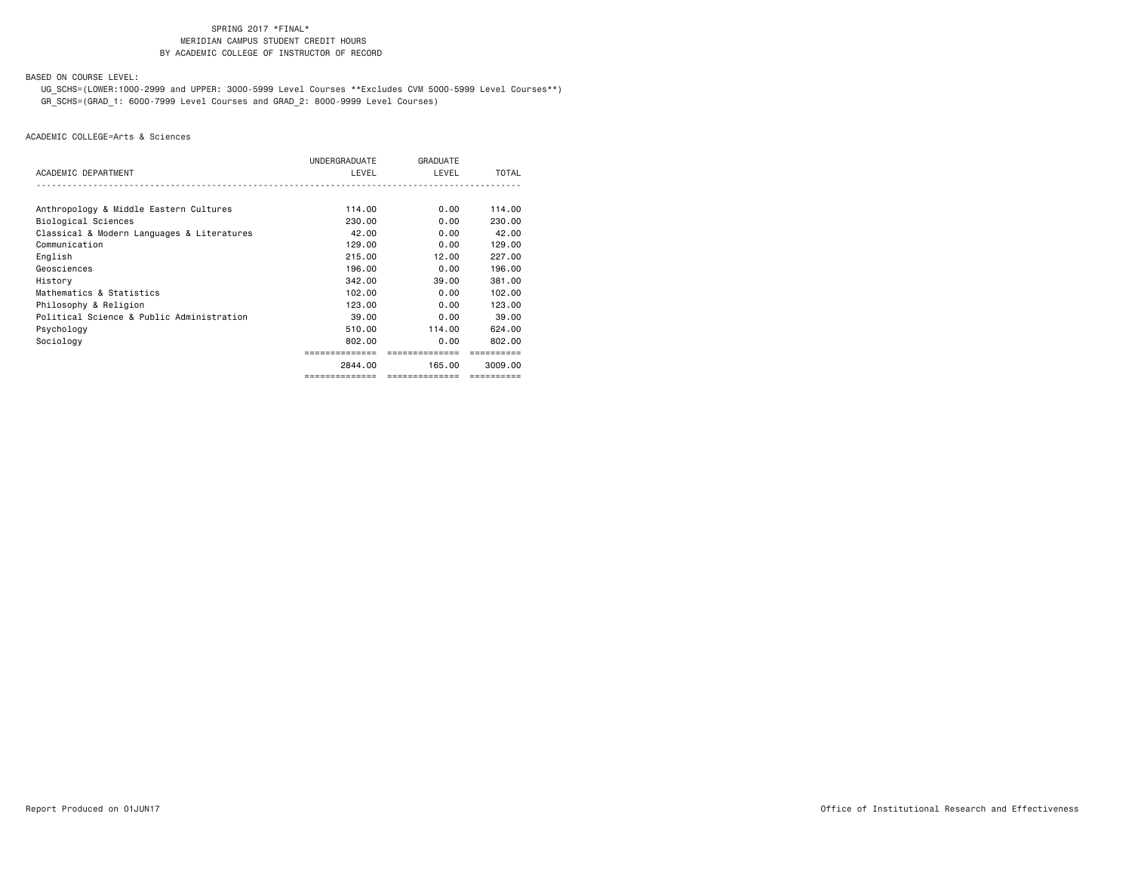# SPRING 2017 \*FINAL\***MERIDIAN CAMPUS STUDENT CREDIT HOURS** BY ACADEMIC COLLEGE OF INSTRUCTOR OF RECORD

BASED ON COURSE LEVEL:

 UG\_SCHS=(LOWER:1000-2999 and UPPER: 3000-5999 Level Courses \*\*Excludes CVM 5000-5999 Level Courses\*\*) GR\_SCHS=(GRAD\_1: 6000-7999 Level Courses and GRAD\_2: 8000-9999 Level Courses)

|                                            | ============== | --------------- | ==========   |
|--------------------------------------------|----------------|-----------------|--------------|
|                                            | 2844.00        | 165.00          | 3009.00      |
|                                            | =============  | ==============  |              |
| Sociology                                  | 802.00         | 0.00            | 802.00       |
| Psychology                                 | 510.00         | 114.00          | 624.00       |
| Political Science & Public Administration  | 39.00          | 0.00            | 39.00        |
| Philosophy & Religion                      | 123.00         | 0.00            | 123.00       |
| Mathematics & Statistics                   | 102.00         | 0.00            | 102.00       |
| History                                    | 342,00         | 39,00           | 381.00       |
| Geosciences                                | 196.00         | 0.00            | 196,00       |
| English                                    | 215.00         | 12.00           | 227.00       |
| Communication                              | 129,00         | 0.00            | 129,00       |
| Classical & Modern Languages & Literatures | 42.00          | 0.00            | 42.00        |
| Biological Sciences                        | 230,00         | 0.00            | 230,00       |
| Anthropology & Middle Eastern Cultures     | 114.00         | 0.00            | 114.00       |
|                                            |                |                 |              |
| ACADEMIC DEPARTMENT                        | LEVEL          | LEVEL           | <b>TOTAL</b> |
|                                            | UNDERGRADUATE  | GRADUATE        |              |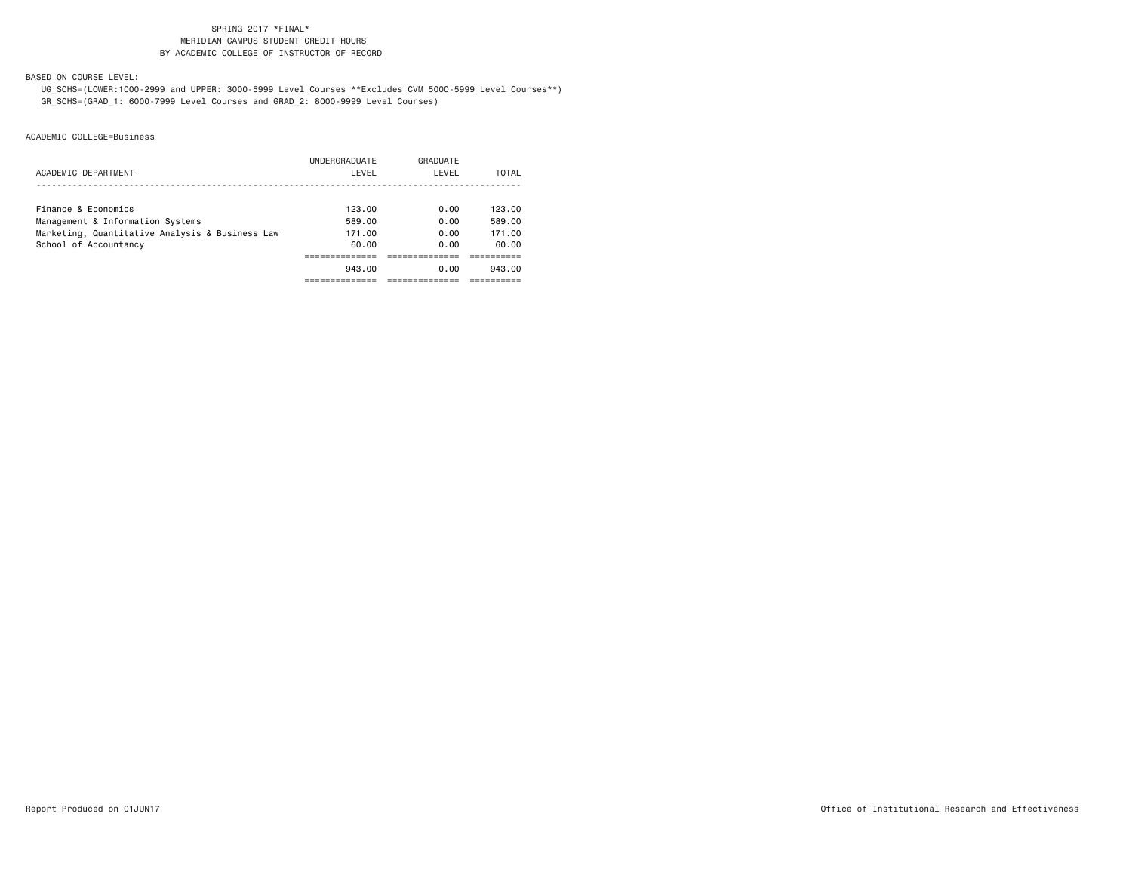# SPRING 2017 \*FINAL\***MERIDIAN CAMPUS STUDENT CREDIT HOURS** BY ACADEMIC COLLEGE OF INSTRUCTOR OF RECORD

BASED ON COURSE LEVEL:

 UG\_SCHS=(LOWER:1000-2999 and UPPER: 3000-5999 Level Courses \*\*Excludes CVM 5000-5999 Level Courses\*\*) GR\_SCHS=(GRAD\_1: 6000-7999 Level Courses and GRAD\_2: 8000-9999 Level Courses)

|                                                 | UNDERGRADUATE | GRADUATE |        |
|-------------------------------------------------|---------------|----------|--------|
| ACADEMIC DEPARTMENT                             | LEVEL         | LEVEL    | TOTAL  |
|                                                 |               |          |        |
| Finance & Economics                             | 123.00        | 0.00     | 123.00 |
| Management & Information Systems                | 589.00        | 0.00     | 589.00 |
| Marketing, Quantitative Analysis & Business Law | 171.00        | 0.00     | 171.00 |
| School of Accountancy                           | 60.00         | 0.00     | 60.00  |
|                                                 |               |          |        |
|                                                 | 943.00        | 0.00     | 943.00 |
|                                                 |               |          |        |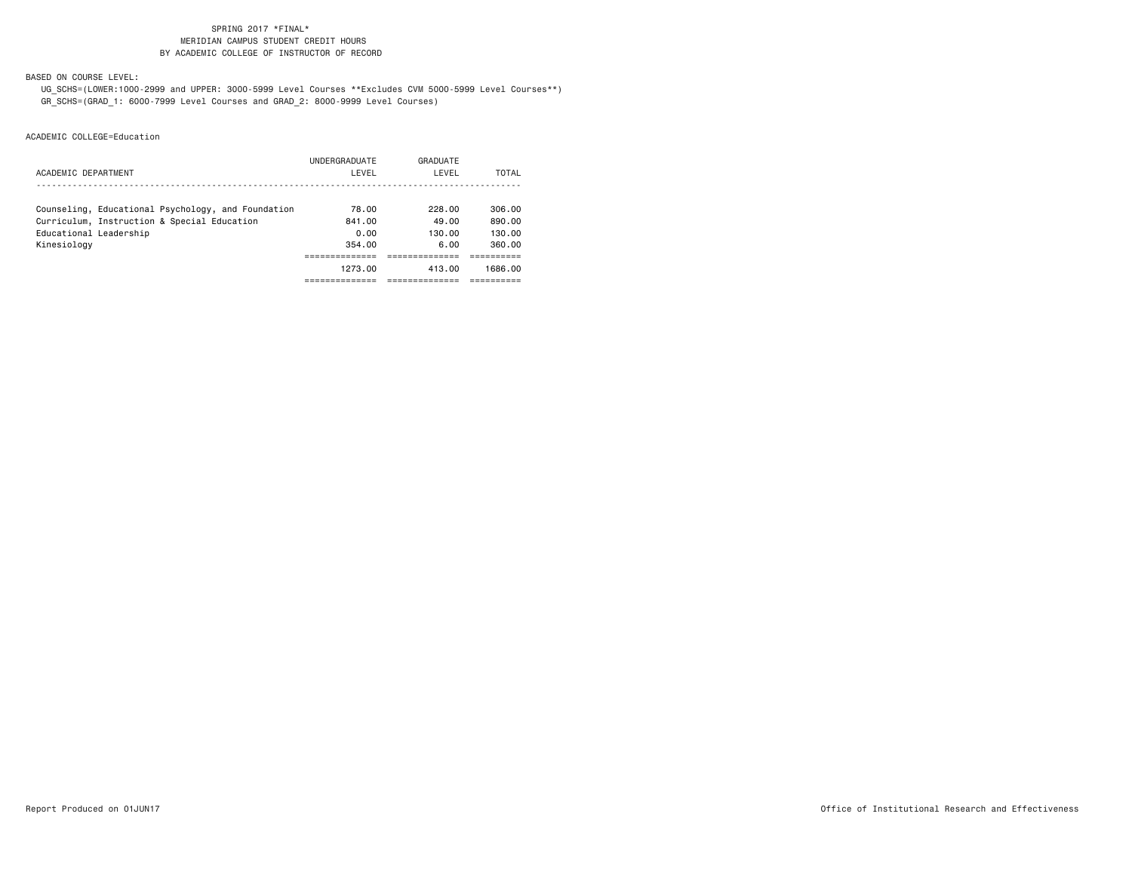# SPRING 2017 \*FINAL\***MERIDIAN CAMPUS STUDENT CREDIT HOURS** BY ACADEMIC COLLEGE OF INSTRUCTOR OF RECORD

BASED ON COURSE LEVEL:

 UG\_SCHS=(LOWER:1000-2999 and UPPER: 3000-5999 Level Courses \*\*Excludes CVM 5000-5999 Level Courses\*\*) GR\_SCHS=(GRAD\_1: 6000-7999 Level Courses and GRAD\_2: 8000-9999 Level Courses)

|                                                    | UNDERGRADUATE | GRADUATE |         |
|----------------------------------------------------|---------------|----------|---------|
| ACADEMIC DEPARTMENT                                | LEVEL         | LEVEL    | TOTAL   |
|                                                    |               |          |         |
| Counseling, Educational Psychology, and Foundation | 78.00         | 228.00   | 306.00  |
| Curriculum, Instruction & Special Education        | 841.00        | 49.00    | 890.00  |
| Educational Leadership                             | 0.00          | 130.00   | 130.00  |
| Kinesiology                                        | 354.00        | 6.00     | 360.00  |
|                                                    |               |          |         |
|                                                    | 1273.00       | 413.00   | 1686.00 |
|                                                    |               |          |         |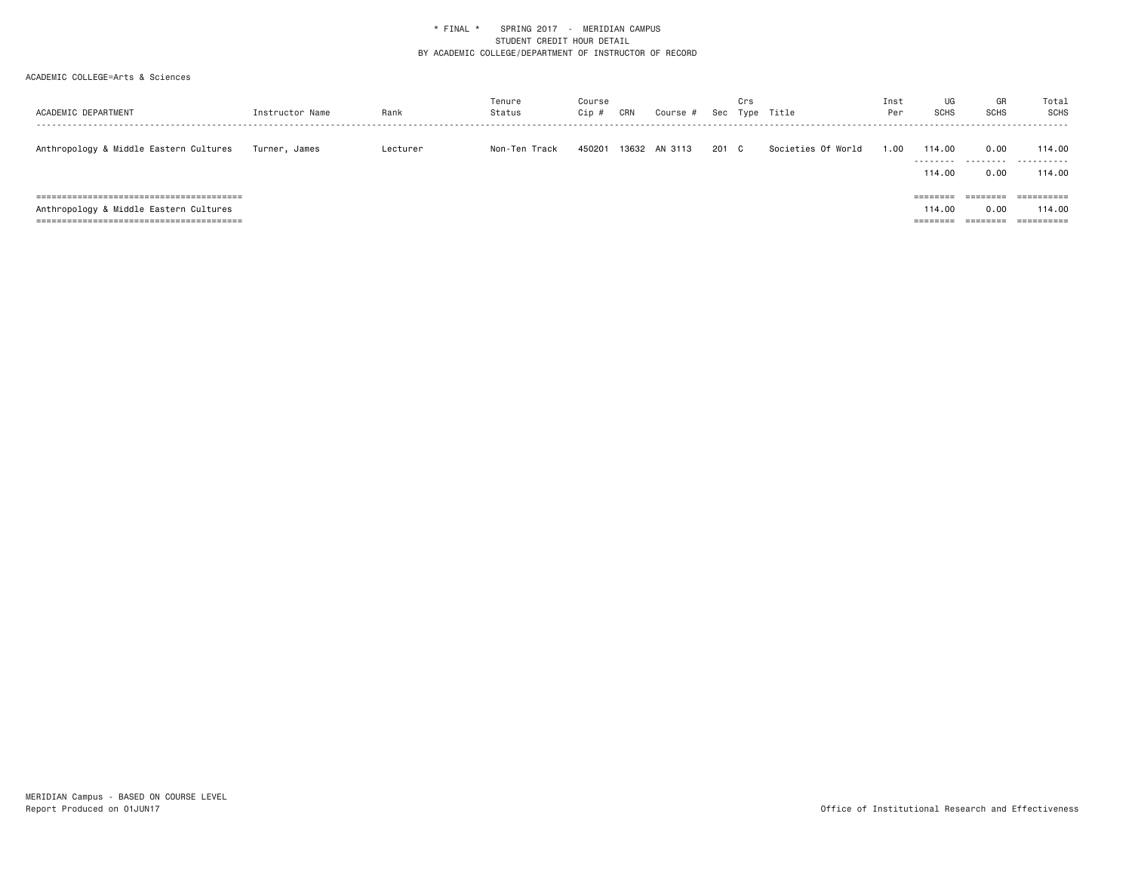| ACADEMIC DEPARTMENT                    | Instructor Name | Rank     | Tenure<br>Status | Course<br>Cip # | CRN   | Course # |       | Crs | Sec Type Title     | Inst<br>Per | UG<br><b>SCHS</b>              | GR<br><b>SCHS</b>            | Total<br><b>SCHS</b>               |
|----------------------------------------|-----------------|----------|------------------|-----------------|-------|----------|-------|-----|--------------------|-------------|--------------------------------|------------------------------|------------------------------------|
| Anthropology & Middle Eastern Cultures | Turner, James   | Lecturer | Non-Ten Track    | 450201          | 13632 | AN 3113  | 201 C |     | Societies Of World | 00.1        | 114.00<br>.<br>114.00          | 0.00<br>.<br>0.00            | 114.00<br>.<br>114.00              |
| Anthropology & Middle Eastern Cultures |                 |          |                  |                 |       |          |       |     |                    |             | ========<br>114.00<br>======== | ========<br>0.00<br>======== | ==========<br>114.00<br>========== |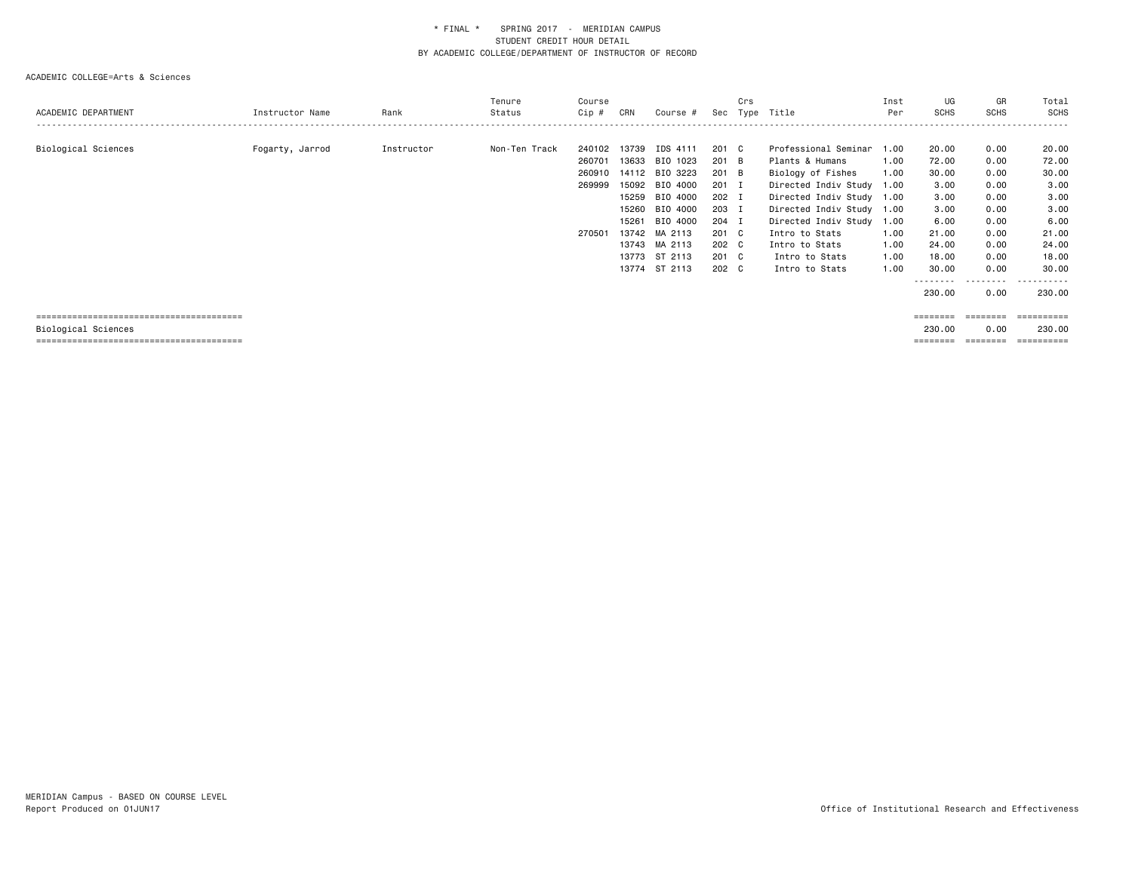#### ACADEMIC COLLEGE=Arts & Sciences

| ACADEMIC DEPARTMENT | Instructor Name | Rank       | Tenure<br>Status | Course<br>Cip #                                | CRN                     | Course #                                                                                                                                                                     | Sec                                                                                               | Crs | Type Title                                                                                                                                                                                                                                                    | Inst<br>Per                                  | UG<br><b>SCHS</b>                                                                                     | GR<br><b>SCHS</b>                                                                                         | Total<br><b>SCHS</b>                                                                                       |
|---------------------|-----------------|------------|------------------|------------------------------------------------|-------------------------|------------------------------------------------------------------------------------------------------------------------------------------------------------------------------|---------------------------------------------------------------------------------------------------|-----|---------------------------------------------------------------------------------------------------------------------------------------------------------------------------------------------------------------------------------------------------------------|----------------------------------------------|-------------------------------------------------------------------------------------------------------|-----------------------------------------------------------------------------------------------------------|------------------------------------------------------------------------------------------------------------|
| Biological Sciences | Fogarty, Jarrod | Instructor | Non-Ten Track    | 240102<br>260701<br>260910<br>269999<br>270501 | 13739<br>15261<br>13774 | IDS 4111<br>13633 BIO 1023<br>14112 BIO 3223<br>15092 BIO 4000<br>15259 BIO 4000<br>15260 BIO 4000<br>BIO 4000<br>13742 MA 2113<br>13743 MA 2113<br>13773 ST 2113<br>ST 2113 | 201 C<br>201 B<br>201 B<br>$201$ I<br>202 I<br>203 I<br>204 I<br>201 C<br>202 C<br>201 C<br>202 C |     | Professional Seminar 1.00<br>Plants & Humans<br>Biology of Fishes<br>Directed Indiv Study 1.00<br>Directed Indiv Study 1.00<br>Directed Indiv Study 1.00<br>Directed Indiv Study 1.00<br>Intro to Stats<br>Intro to Stats<br>Intro to Stats<br>Intro to Stats | 1.00<br>1.00<br>1.00<br>1.00<br>1.00<br>1.00 | 20.00<br>72.00<br>30.00<br>3.00<br>3.00<br>3.00<br>6.00<br>21.00<br>24.00<br>18.00<br>30.00<br>230.00 | 0.00<br>0.00<br>0.00<br>0.00<br>0.00<br>0.00<br>0.00<br>0.00<br>0.00<br>0.00<br>0.00<br>---------<br>0.00 | 20.00<br>72.00<br>30.00<br>3.00<br>3.00<br>3.00<br>6.00<br>21.00<br>24.00<br>18.00<br>30.00<br>.<br>230.00 |
|                     |                 |            |                  |                                                |                         |                                                                                                                                                                              |                                                                                                   |     |                                                                                                                                                                                                                                                               |                                              | ========                                                                                              | ---------                                                                                                 | -----------                                                                                                |

Biological Sciences 230.00 0.00 230.00

======================================== ======== ======== ==========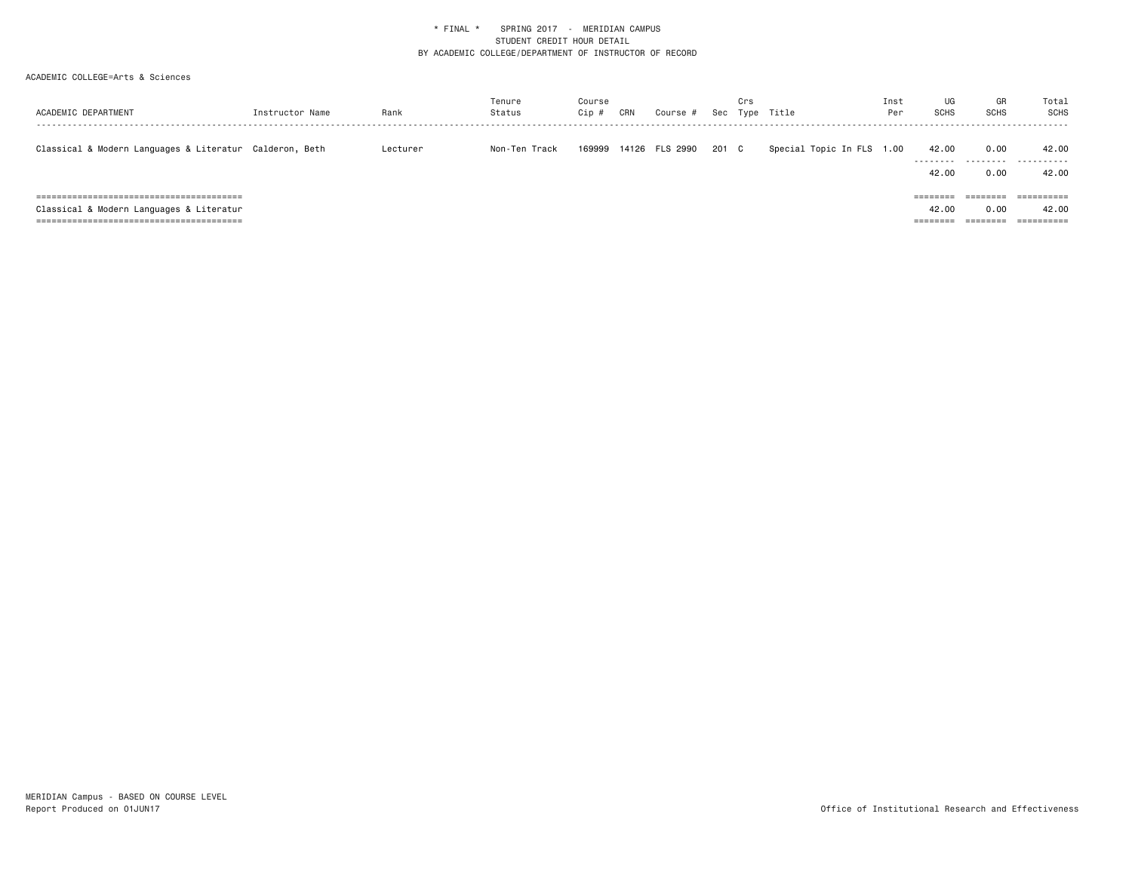| ACADEMIC DEPARTMENT                                     | Instructor Name | Rank     | Tenure<br>Status | Course<br>Cip # | CRN | Course #       |       | Crs | Sec Type Title            | Inst<br>Per | UG<br><b>SCHS</b>          | GR<br><b>SCHS</b>         | Total<br><b>SCHS</b> |
|---------------------------------------------------------|-----------------|----------|------------------|-----------------|-----|----------------|-------|-----|---------------------------|-------------|----------------------------|---------------------------|----------------------|
| Classical & Modern Languages & Literatur Calderon, Beth |                 | Lecturer | Non-Ten Track    | 169999          |     | 14126 FLS 2990 | 201 C |     | Special Topic In FLS 1.00 |             | 42.00<br>---------         | 0.00<br>.                 | 42.00<br>.           |
|                                                         |                 |          |                  |                 |     |                |       |     |                           |             | 42.00<br>$=$ = = = = = = = | 0.00<br>$=$ = = = = = = = | 42.00                |
| Classical & Modern Languages & Literatur                |                 |          |                  |                 |     |                |       |     |                           |             | 42.00<br>========          | 0.00                      | 42.00<br>==========  |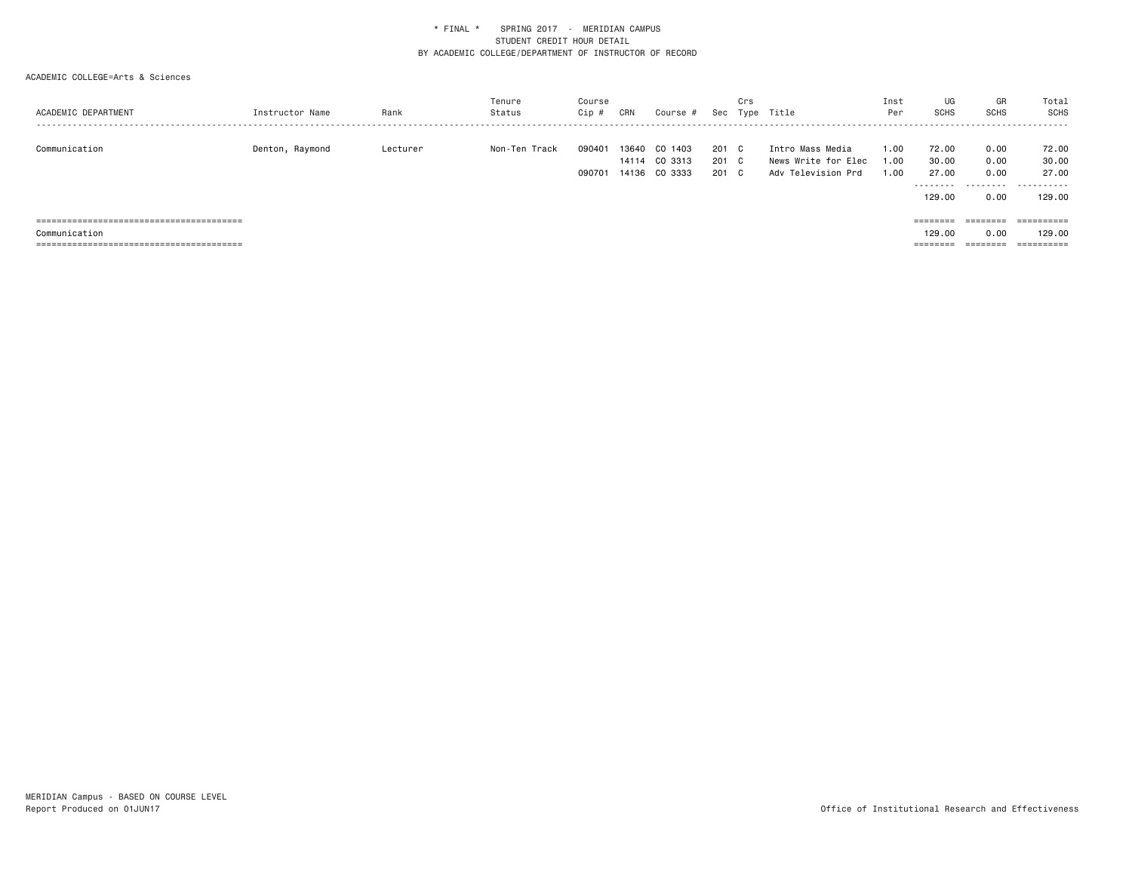| ACADEMIC DEPARTMENT | Instructor Name | Rank     | Tenure<br>Status | Course<br>Cip #  | CRN   | Course #                                  | Sec                     | Crs | Type Title                                                    | Inst<br>Per          | UG<br><b>SCHS</b>                             | GR<br>SCHS                   | Total<br>SCHS                                   |
|---------------------|-----------------|----------|------------------|------------------|-------|-------------------------------------------|-------------------------|-----|---------------------------------------------------------------|----------------------|-----------------------------------------------|------------------------------|-------------------------------------------------|
| Communication       | Denton, Raymond | Lecturer | Non-Ten Track    | 090401<br>090701 | 13640 | CO 1403<br>14114 CO 3313<br>14136 CO 3333 | 201 C<br>201 C<br>201 C |     | Intro Mass Media<br>News Write for Elec<br>Adv Television Prd | 1.00<br>1.00<br>1.00 | 72.00<br>30.00<br>27.00<br>--------<br>129.00 | 0.00<br>0.00<br>0.00<br>0.00 | 72.00<br>30.00<br>27.00<br>----------<br>129.00 |
|                     |                 |          |                  |                  |       |                                           |                         |     |                                                               |                      |                                               | ========                     | ==========                                      |
| Communication       |                 |          |                  |                  |       |                                           |                         |     |                                                               |                      | 129.00                                        | 0.00                         | 129,00                                          |
|                     |                 |          |                  |                  |       |                                           |                         |     |                                                               |                      | ========                                      | ========                     | ==========                                      |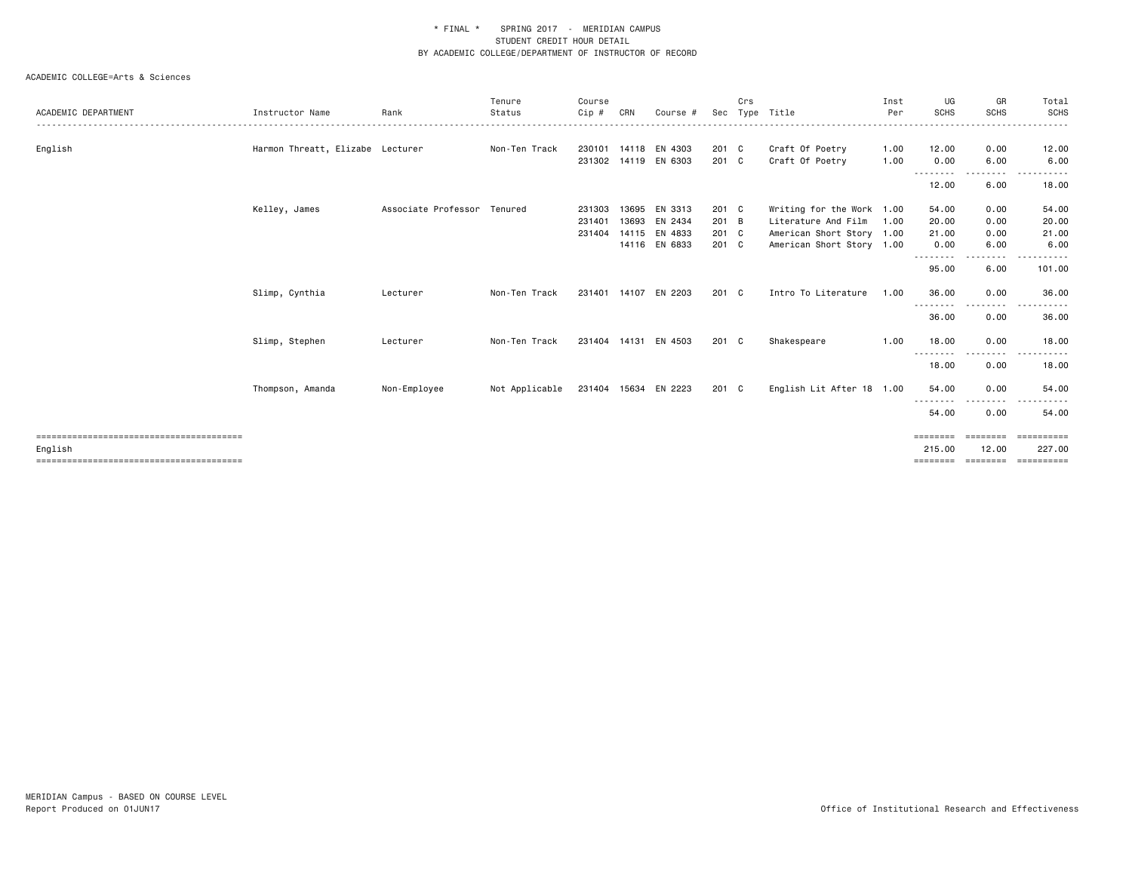|                     |                                  |                             | Tenure         | Course |       |                      |       | Crs |                           | Inst     | UG                  | GR                        | Total                 |
|---------------------|----------------------------------|-----------------------------|----------------|--------|-------|----------------------|-------|-----|---------------------------|----------|---------------------|---------------------------|-----------------------|
| ACADEMIC DEPARTMENT | Instructor Name                  | Rank                        | Status         | Cip #  | CRN   | Course #             | Sec   |     | Type Title                | Per<br>. | <b>SCHS</b>         | <b>SCHS</b>               | <b>SCHS</b><br>------ |
| English             | Harmon Threatt, Elizabe Lecturer |                             | Non-Ten Track  | 230101 | 14118 | EN 4303              | 201 C |     | Craft Of Poetry           | 1.00     | 12.00               | 0.00                      | 12.00                 |
|                     |                                  |                             |                | 231302 |       | 14119 EN 6303        | 201 C |     | Craft Of Poetry           | 1.00     | 0.00                | 6.00                      | 6.00                  |
|                     |                                  |                             |                |        |       |                      |       |     |                           |          | <u>.</u>            |                           |                       |
|                     |                                  |                             |                |        |       |                      |       |     |                           |          | 12.00               | 6.00                      | 18.00                 |
|                     | Kelley, James                    | Associate Professor Tenured |                | 231303 |       | 13695 EN 3313        | 201 C |     | Writing for the Work 1.00 |          | 54.00               | 0.00                      | 54.00                 |
|                     |                                  |                             |                | 231401 | 13693 | EN 2434              | 201 B |     | Literature And Film       | 1.00     | 20.00               | 0.00                      | 20.00                 |
|                     |                                  |                             |                | 231404 |       | 14115 EN 4833        | 201 C |     | American Short Story 1.00 |          | 21.00               | 0.00                      | 21.00                 |
|                     |                                  |                             |                |        |       | 14116 EN 6833        | 201 C |     | American Short Story 1.00 |          | 0.00                | 6.00                      | 6.00                  |
|                     |                                  |                             |                |        |       |                      |       |     |                           |          | <u>.</u> .<br>95.00 | <u>.</u><br>$  -$<br>6.00 | .<br>101.00           |
|                     | Slimp, Cynthia                   | Lecturer                    | Non-Ten Track  |        |       | 231401 14107 EN 2203 | 201 C |     | Intro To Literature       | 1.00     | 36.00               | 0.00                      | 36.00                 |
|                     |                                  |                             |                |        |       |                      |       |     |                           |          | <u>.</u> .<br>36.00 | 0.00                      | 36.00                 |
|                     | Slimp, Stephen                   | Lecturer                    | Non-Ten Track  |        |       | 231404 14131 EN 4503 | 201 C |     | Shakespeare               | 1.00     | 18.00               | 0.00                      | 18.00                 |
|                     |                                  |                             |                |        |       |                      |       |     |                           |          | .<br>18.00          | --------<br>0.00          | 18.00                 |
|                     | Thompson, Amanda                 | Non-Employee                | Not Applicable |        |       | 231404 15634 EN 2223 | 201 C |     | English Lit After 18 1.00 |          | 54.00               | 0.00                      | 54.00                 |
|                     |                                  |                             |                |        |       |                      |       |     |                           |          | <u>.</u><br>54.00   | --------<br>0.00          | 54.00                 |
|                     |                                  |                             |                |        |       |                      |       |     |                           |          | ========            | ========                  | ==========            |
| English             |                                  |                             |                |        |       |                      |       |     |                           |          | 215.00              | 12.00                     | 227.00                |
|                     |                                  |                             |                |        |       |                      |       |     |                           |          | ========            | ========                  | ==========            |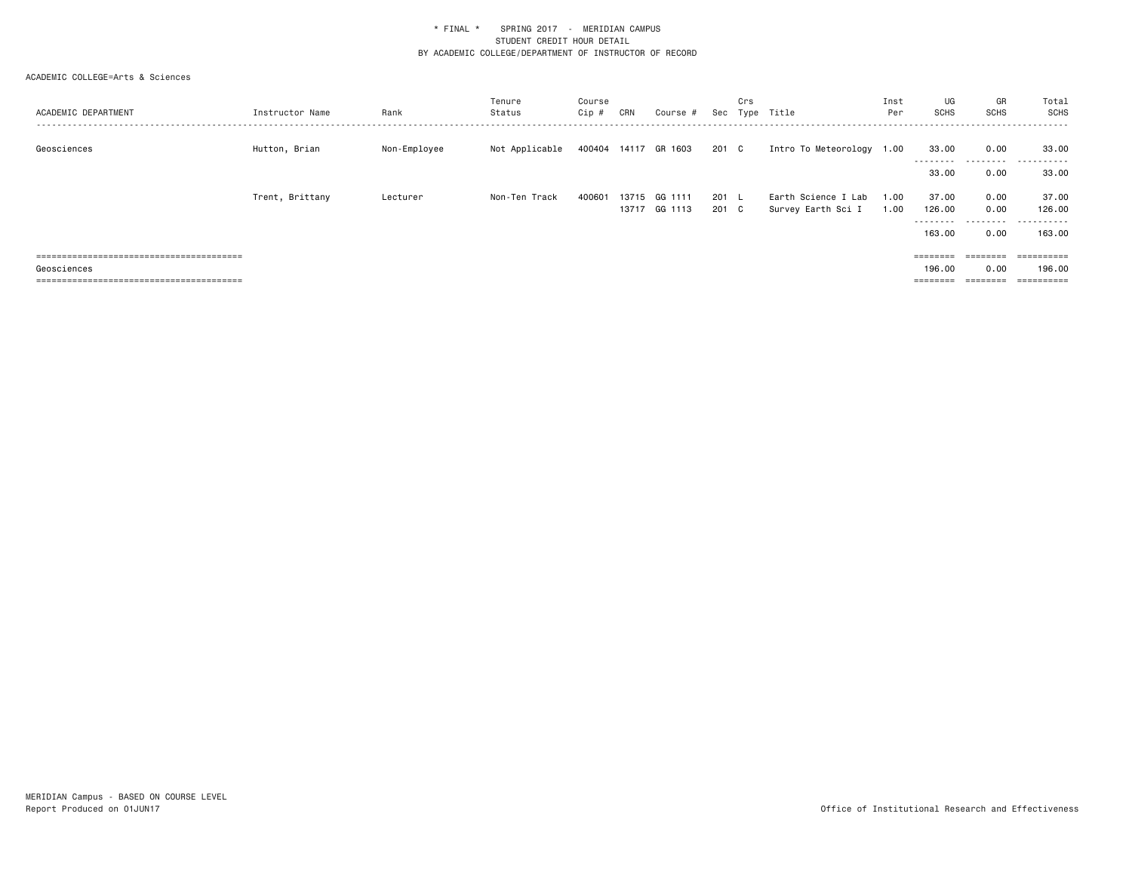| ACADEMIC DEPARTMENT | Instructor Name | Rank         | Tenure<br>Status | Course<br>Cip # | CRN   | Course #                 |              | Crs          | Sec Type Title                            | Inst<br>Per  | UG<br><b>SCHS</b>              | GR<br><b>SCHS</b>            | Total<br><b>SCHS</b>               |
|---------------------|-----------------|--------------|------------------|-----------------|-------|--------------------------|--------------|--------------|-------------------------------------------|--------------|--------------------------------|------------------------------|------------------------------------|
| Geosciences         | Hutton, Brian   | Non-Employee | Not Applicable   |                 |       | 400404 14117 GR 1603     | 201 C        |              | Intro To Meteorology 1.00                 |              | 33.00<br>---------             | 0.00<br>.                    | 33.00<br>. <u>.</u> .<br>----      |
|                     | Trent, Brittany | Lecturer     | Non-Ten Track    | 400601          | 13715 | GG 1111<br>13717 GG 1113 | 201 L<br>201 | $\mathbf{C}$ | Earth Science I Lab<br>Survey Earth Sci I | 1.00<br>1.00 | 33.00<br>37.00<br>126.00       | 0.00<br>0.00<br>0.00         | 33.00<br>37.00<br>126.00           |
|                     |                 |              |                  |                 |       |                          |              |              |                                           |              | --------<br>163,00             | --------<br>0.00             | -------<br>163.00                  |
| Geosciences         |                 |              |                  |                 |       |                          |              |              |                                           |              | ========<br>196,00<br>======== | ========<br>0.00<br>======== | ==========<br>196.00<br>========== |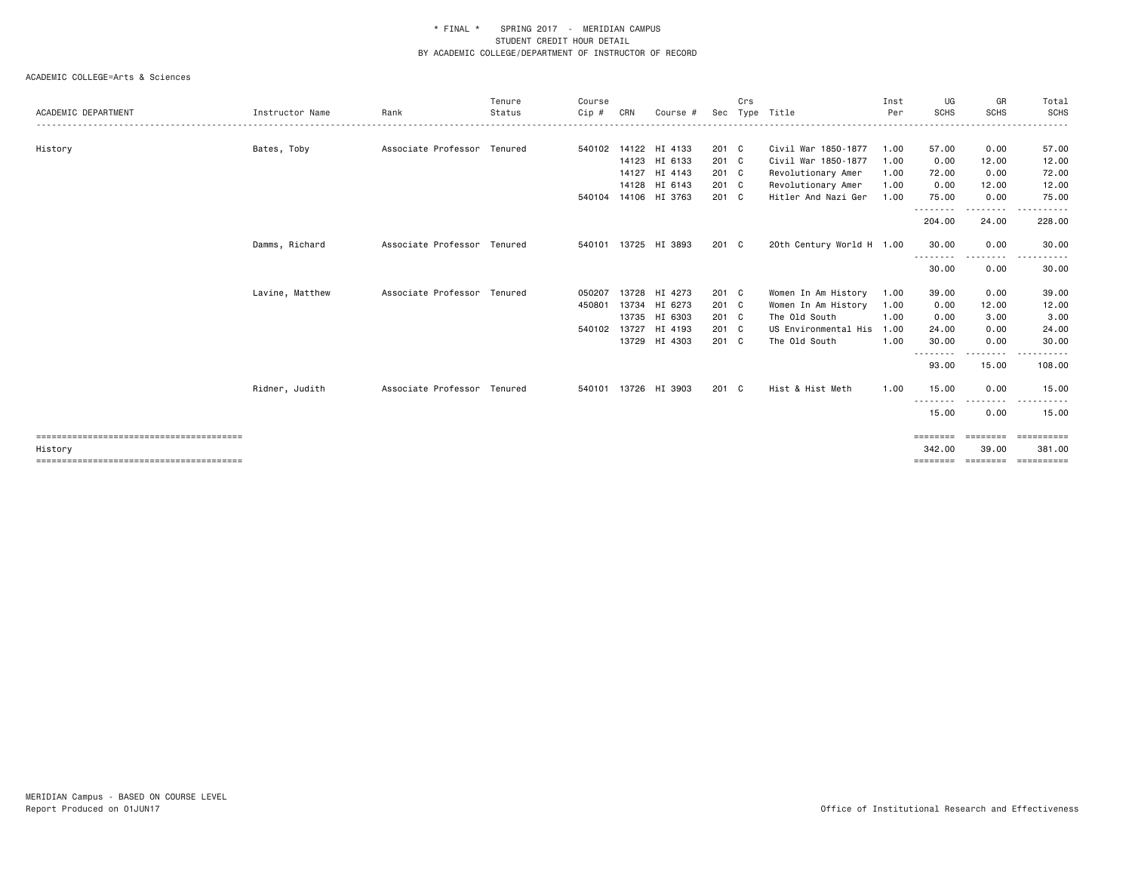|                     |                 |                             | Tenure  | Course |       |                      |       | Crs |                           | Inst | UG                       | GR               | Total       |
|---------------------|-----------------|-----------------------------|---------|--------|-------|----------------------|-------|-----|---------------------------|------|--------------------------|------------------|-------------|
| ACADEMIC DEPARTMENT | Instructor Name | Rank                        | Status  | Cip #  | CRN   | Course #             |       |     | Sec Type Title            | Per  | <b>SCHS</b>              | <b>SCHS</b>      | <b>SCHS</b> |
|                     |                 | Associate Professor         | Tenured | 540102 |       | 14122 HI 4133        | 201 C |     | Civil War 1850-1877       | 1.00 | 57.00                    | 0.00             | 57.00       |
| History             | Bates, Toby     |                             |         |        | 14123 | HI 6133              | 201 C |     | Civil War 1850-1877       | 1.00 | 0.00                     | 12.00            | 12.00       |
|                     |                 |                             |         |        |       | 14127 HI 4143        | 201 C |     | Revolutionary Amer        | 1.00 | 72.00                    | 0.00             | 72.00       |
|                     |                 |                             |         |        | 14128 | HI 6143              | 201 C |     | Revolutionary Amer        | 1.00 | 0.00                     | 12.00            | 12.00       |
|                     |                 |                             |         | 540104 |       | 14106 HI 3763        | 201 C |     | Hitler And Nazi Ger       | 1.00 | 75.00                    | 0.00             | 75.00       |
|                     |                 |                             |         |        |       |                      |       |     |                           |      | -------<br>204.00        | 24.00            | 228.00      |
|                     | Damms, Richard  | Associate Professor Tenured |         |        |       | 540101 13725 HI 3893 | 201 C |     | 20th Century World H 1.00 |      | 30.00                    | 0.00             | 30.00       |
|                     |                 |                             |         |        |       |                      |       |     |                           |      | - - - - - - - -<br>30.00 | $\cdots$<br>0.00 | 30.00       |
|                     | Lavine, Matthew | Associate Professor Tenured |         | 050207 |       | 13728 HI 4273        | 201 C |     | Women In Am History       | 1.00 | 39.00                    | 0.00             | 39.00       |
|                     |                 |                             |         | 450801 |       | 13734 HI 6273        | 201 C |     | Women In Am History       | 1.00 | 0.00                     | 12.00            | 12.00       |
|                     |                 |                             |         |        | 13735 | HI 6303              | 201 C |     | The Old South             | 1.00 | 0.00                     | 3.00             | 3.00        |
|                     |                 |                             |         | 540102 | 13727 | HI 4193              | 201 C |     | US Environmental His      | 1.00 | 24.00                    | 0.00             | 24.00       |
|                     |                 |                             |         |        |       | 13729 HI 4303        | 201 C |     | The Old South             | 1.00 | 30.00<br><u>.</u> .      | 0.00<br>.        | 30.00<br>.  |
|                     |                 |                             |         |        |       |                      |       |     |                           |      | 93.00                    | 15.00            | 108.00      |
|                     | Ridner, Judith  | Associate Professor Tenured |         | 540101 |       | 13726 HI 3903        | 201 C |     | Hist & Hist Meth          | 1.00 | 15.00<br>.               | 0.00<br>-------- | 15.00       |
|                     |                 |                             |         |        |       |                      |       |     |                           |      | 15.00                    | 0.00             | 15.00       |
|                     |                 |                             |         |        |       |                      |       |     |                           |      | ========                 | ========         | ==========  |
| History             |                 |                             |         |        |       |                      |       |     |                           |      | 342.00                   | 39.00            | 381.00      |
|                     |                 |                             |         |        |       |                      |       |     |                           |      | ========                 | ========         | ==========  |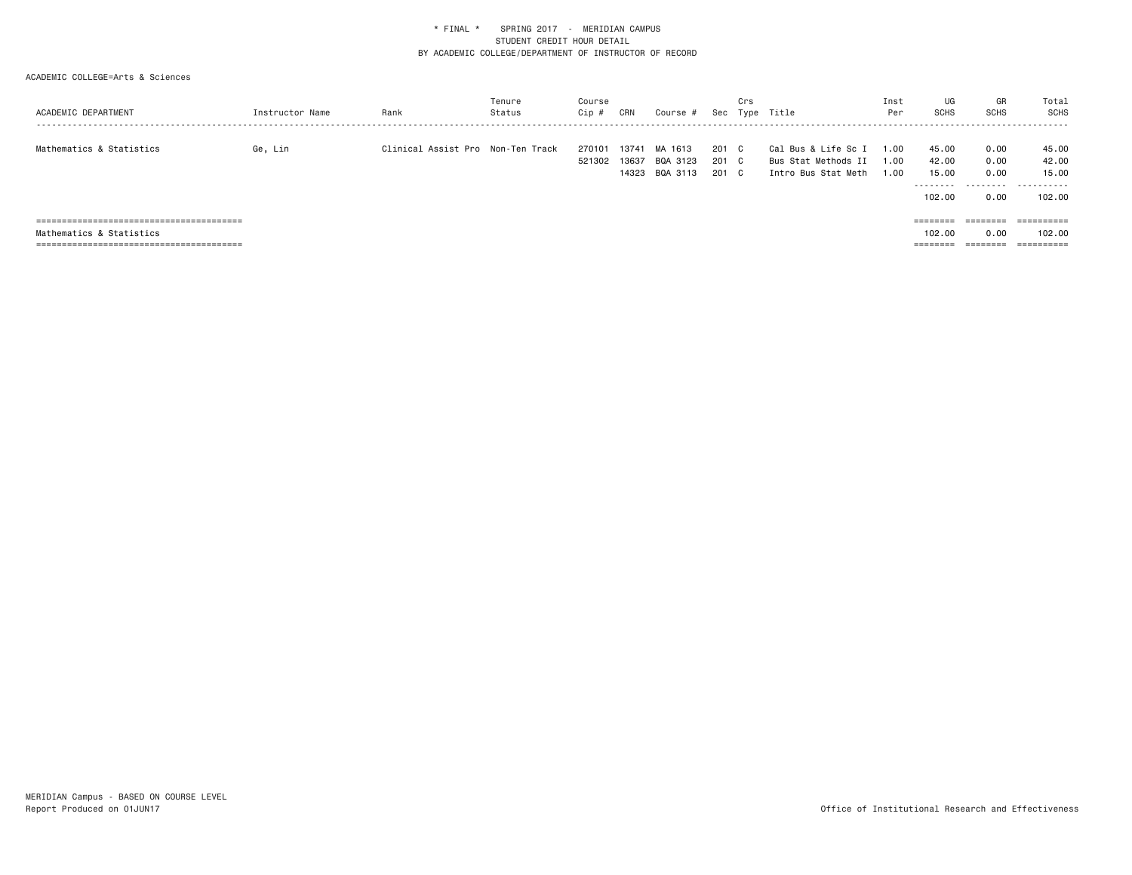| ACADEMIC DEPARTMENT       | Instructor Name | Rank                              | Tenure<br>Status | Course<br>Cip #  | CRN            | Course #                              | Sec                     | Crs | Type Title                                                        | Inst<br>Per          | UG<br><b>SCHS</b>                             | GR<br>SCHS                        | Total<br>SCHS                          |
|---------------------------|-----------------|-----------------------------------|------------------|------------------|----------------|---------------------------------------|-------------------------|-----|-------------------------------------------------------------------|----------------------|-----------------------------------------------|-----------------------------------|----------------------------------------|
| Mathematics & Statistics  | Ge, Lin         | Clinical Assist Pro Non-Ten Track |                  | 270101<br>521302 | 13741<br>13637 | MA 1613<br>BQA 3123<br>14323 BQA 3113 | 201 C<br>201 C<br>201 C |     | Cal Bus & Life Sc I<br>Bus Stat Methods II<br>Intro Bus Stat Meth | 1.00<br>1.00<br>1.00 | 45.00<br>42.00<br>15.00<br>--------<br>102,00 | 0.00<br>0.00<br>0.00<br>.<br>0.00 | 45.00<br>42.00<br>15.00<br>.<br>102.00 |
|                           |                 |                                   |                  |                  |                |                                       |                         |     |                                                                   |                      | $=$ = = = = = = =                             | ========                          | ==========                             |
| Mathematics & Statistics  |                 |                                   |                  |                  |                |                                       |                         |     |                                                                   |                      | 102,00                                        | 0.00                              | 102.00                                 |
| ========================= |                 |                                   |                  |                  |                |                                       |                         |     |                                                                   |                      | ========                                      |                                   | ==========                             |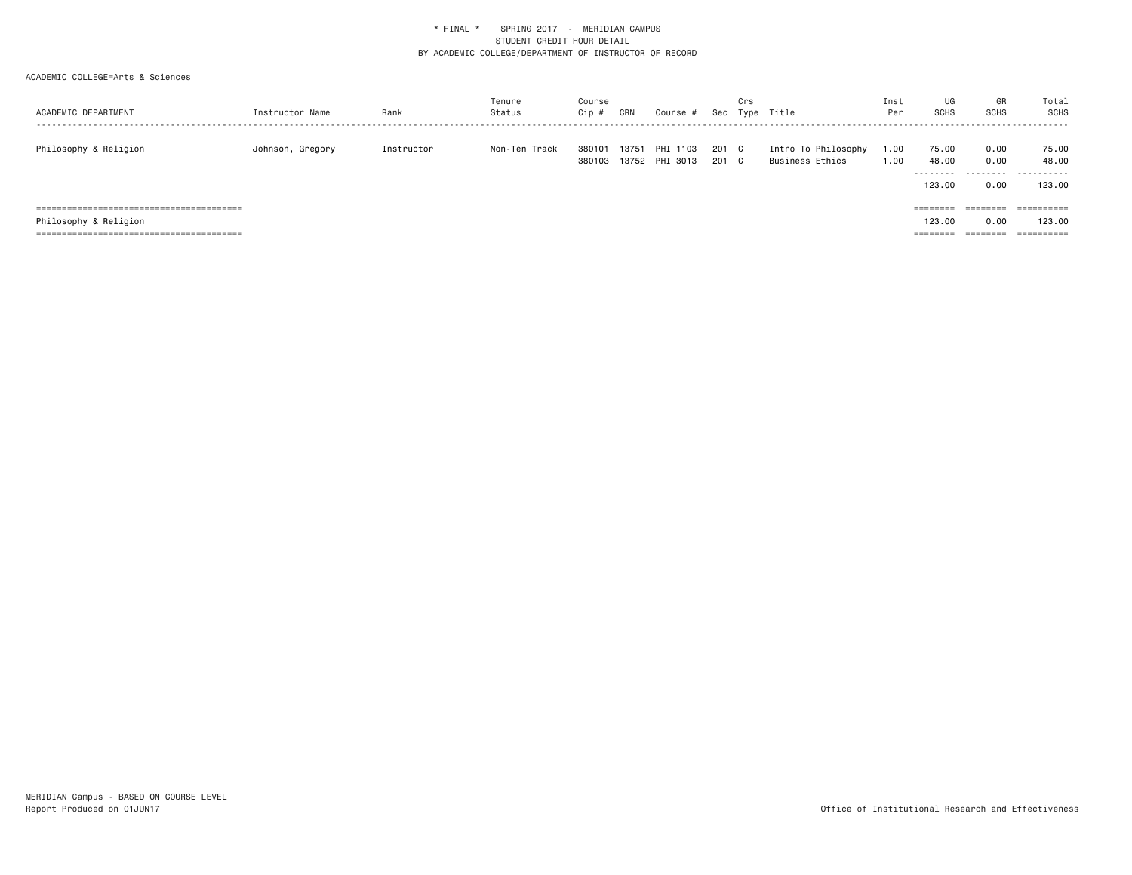| ACADEMIC DEPARTMENT   | Instructor Name  | Rank       | Tenure<br>Status | Course<br>Cip #  | CRN   | Course #                   |                | Crs | Sec Type Title                         | Inst<br>Per  | UG<br>SCHS                    | GR<br>SCHS                | Total<br>SCHS                 |
|-----------------------|------------------|------------|------------------|------------------|-------|----------------------------|----------------|-----|----------------------------------------|--------------|-------------------------------|---------------------------|-------------------------------|
| Philosophy & Religion | Johnson, Gregory | Instructor | Non-Ten Track    | 380101<br>380103 | 13751 | PHI 1103<br>13752 PHI 3013 | 201 C<br>201 C |     | Intro To Philosophy<br>Business Ethics | 1.00<br>1.00 | 75.00<br>48.00<br>.<br>123.00 | 0.00<br>0.00<br>.<br>0.00 | 75.00<br>48.00<br>.<br>123,00 |
|                       |                  |            |                  |                  |       |                            |                |     |                                        |              | $=$ = = = = = = =             | ========                  | ==========                    |
| Philosophy & Religion |                  |            |                  |                  |       |                            |                |     |                                        |              | 123,00                        | 0.00                      | 123,00                        |
|                       |                  |            |                  |                  |       |                            |                |     |                                        |              | ========                      | ========                  | ==========                    |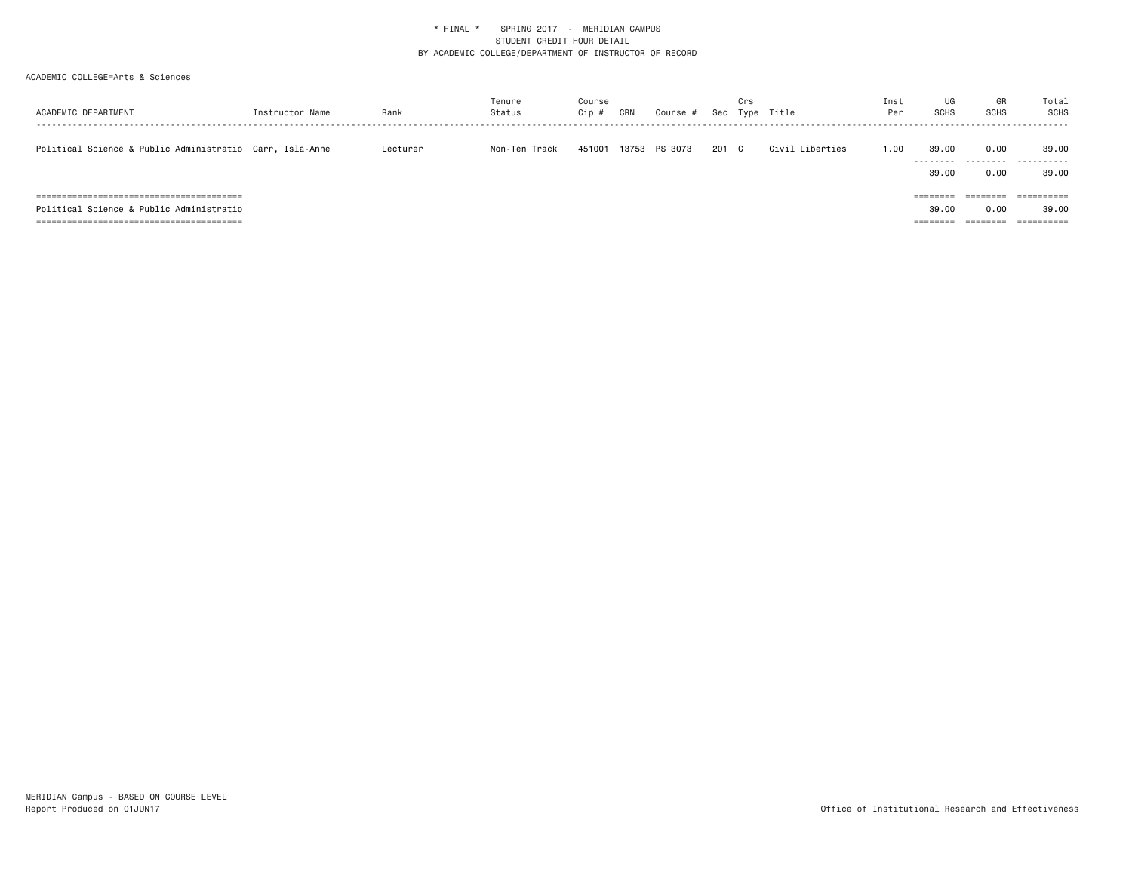| ACADEMIC DEPARTMENT                                      | Instructor Name | Rank     | Tenure<br>Status | Course<br>$Cip$ # | CRN   | Course # |       | Crs | Sec Type Title  | Inst<br>Per | UG<br><b>SCHS</b>  | GR<br><b>SCHS</b> | Total<br>SCHS |
|----------------------------------------------------------|-----------------|----------|------------------|-------------------|-------|----------|-------|-----|-----------------|-------------|--------------------|-------------------|---------------|
| Political Science & Public Administratio Carr, Isla-Anne |                 | Lecturer | Non-Ten Track    | 451001            | 13753 | PS 3073  | 201 C |     | Civil Liberties | 1.00        | 39.00<br>--------- | 0.00<br>.         | 39.00<br>.    |
|                                                          |                 |          |                  |                   |       |          |       |     |                 |             | 39.00              | 0.00              | 39.00         |
|                                                          |                 |          |                  |                   |       |          |       |     |                 |             | $=$ = = = = = = =  | ========          |               |
| Political Science & Public Administratio                 |                 |          |                  |                   |       |          |       |     |                 |             | 39.00              | 0.00              | 39.00         |
|                                                          |                 |          |                  |                   |       |          |       |     |                 |             | =======            |                   |               |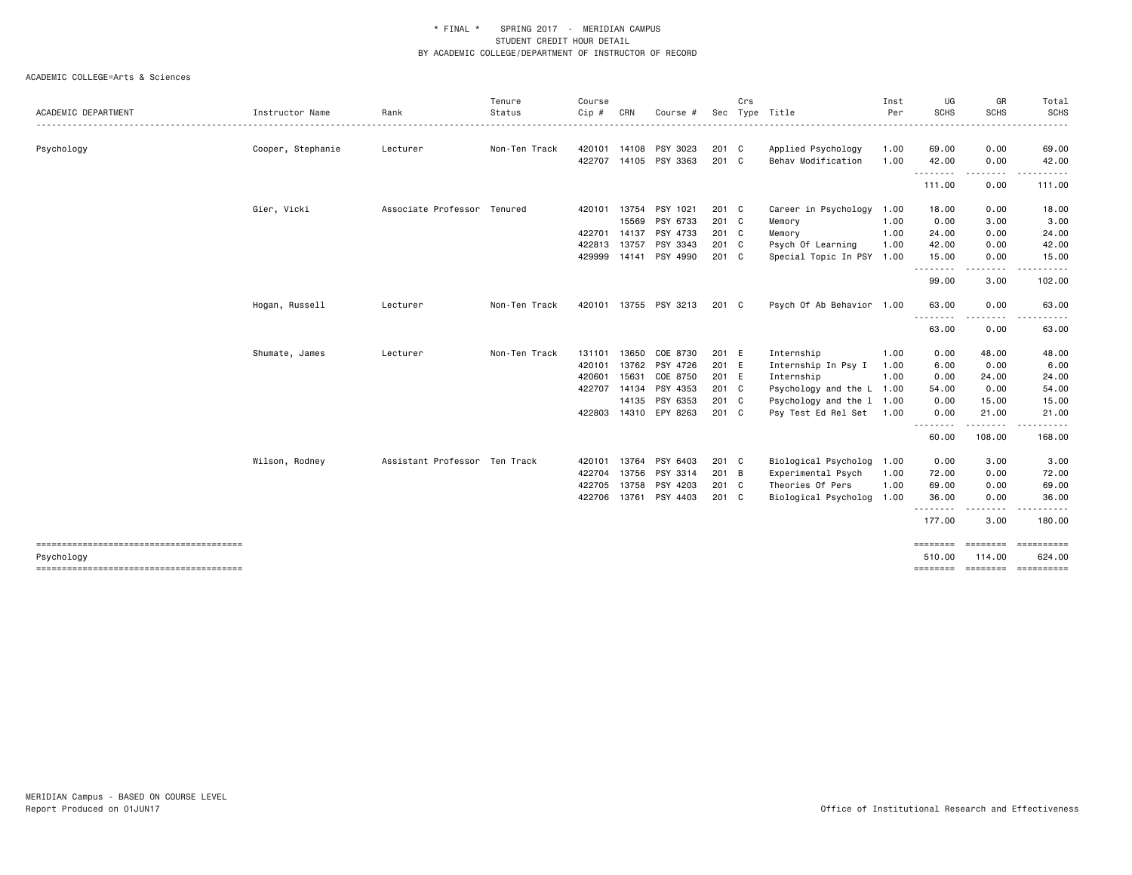|                     |                   |                               | Tenure        | Course |       |                |               | Crs |                           | Inst | UG                 | GR                                                                                                                                | Total                         |
|---------------------|-------------------|-------------------------------|---------------|--------|-------|----------------|---------------|-----|---------------------------|------|--------------------|-----------------------------------------------------------------------------------------------------------------------------------|-------------------------------|
| ACADEMIC DEPARTMENT | Instructor Name   | Rank                          | Status        | Cip #  | CRN   | Course         |               |     | Sec Type Title            | Per  | <b>SCHS</b>        | <b>SCHS</b>                                                                                                                       | SCHS                          |
| Psychology          | Cooper, Stephanie | Lecturer                      | Non-Ten Track | 420101 |       | 14108 PSY 3023 | 201 C         |     | Applied Psychology        | 1.00 | 69.00              | 0.00                                                                                                                              | 69.00                         |
|                     |                   |                               |               | 422707 |       | 14105 PSY 3363 | 201 C         |     | Behav Modification        | 1.00 | 42.00              | 0.00                                                                                                                              | 42.00                         |
|                     |                   |                               |               |        |       |                |               |     |                           |      | .<br>111.00        | .<br>0.00                                                                                                                         | 111.00                        |
|                     | Gier, Vicki       | Associate Professor Tenured   |               | 420101 | 13754 | PSY 1021       | 201 C         |     | Career in Psychology 1.00 |      | 18.00              | 0.00                                                                                                                              | 18.00                         |
|                     |                   |                               |               |        | 15569 | PSY 6733       | 201 C         |     | Memory                    | 1.00 | 0.00               | 3.00                                                                                                                              | 3.00                          |
|                     |                   |                               |               | 422701 | 14137 | PSY 4733       | 201 C         |     | Memory                    | 1.00 | 24.00              | 0.00                                                                                                                              | 24.00                         |
|                     |                   |                               |               | 422813 | 13757 | PSY 3343       | 201 C         |     | Psych Of Learning         | 1.00 | 42.00              | 0.00                                                                                                                              | 42.00                         |
|                     |                   |                               |               | 429999 |       | 14141 PSY 4990 | 201 C         |     | Special Topic In PSY 1.00 |      | 15.00<br>.         | 0.00<br>$\frac{1}{2} \left( \frac{1}{2} \right) \left( \frac{1}{2} \right) \left( \frac{1}{2} \right) \left( \frac{1}{2} \right)$ | 15.00                         |
|                     |                   |                               |               |        |       |                |               |     |                           |      | 99.00              | 3.00                                                                                                                              | 102.00                        |
|                     | Hogan, Russell    | Lecturer                      | Non-Ten Track | 420101 |       | 13755 PSY 3213 | 201 C         |     | Psych Of Ab Behavior 1.00 |      | 63.00              | 0.00                                                                                                                              | 63.00                         |
|                     |                   |                               |               |        |       |                |               |     |                           |      | .<br>63.00         | 0.00                                                                                                                              | 63.00                         |
|                     | Shumate, James    | Lecturer                      | Non-Ten Track | 131101 | 13650 | COE 8730       | 201 E         |     | Internship                | 1.00 | 0.00               | 48.00                                                                                                                             | 48.00                         |
|                     |                   |                               |               | 420101 |       | 13762 PSY 4726 | 201 E         |     | Internship In Psy I       | 1.00 | 6.00               | 0.00                                                                                                                              | 6.00                          |
|                     |                   |                               |               | 420601 | 15631 | COE 8750       | 201 E         |     | Internship                | 1.00 | 0.00               | 24.00                                                                                                                             | 24.00                         |
|                     |                   |                               |               | 422707 | 14134 | PSY 4353       | 201 C         |     | Psychology and the L 1.00 |      | 54.00              | 0.00                                                                                                                              | 54.00                         |
|                     |                   |                               |               |        |       | 14135 PSY 6353 | 201 C         |     | Psychology and the 1 1.00 |      | 0.00               | 15.00                                                                                                                             | 15.00                         |
|                     |                   |                               |               | 422803 |       | 14310 EPY 8263 | 201 C         |     | Psy Test Ed Rel Set       | 1.00 | 0.00               | 21.00                                                                                                                             | 21.00                         |
|                     |                   |                               |               |        |       |                |               |     |                           |      | .<br>60.00         | .<br>108.00                                                                                                                       | .<br>168.00                   |
|                     | Wilson, Rodney    | Assistant Professor Ten Track |               | 420101 | 13764 | PSY 6403       | 201 C         |     | Biological Psycholog 1.00 |      | 0.00               | 3.00                                                                                                                              | 3.00                          |
|                     |                   |                               |               | 422704 | 13756 | PSY 3314       | 201 B         |     | Experimental Psych        | 1.00 | 72.00              | 0.00                                                                                                                              | 72.00                         |
|                     |                   |                               |               | 422705 | 13758 | PSY 4203       | 201 C         |     | Theories Of Pers          | 1.00 | 69.00              | 0.00                                                                                                                              | 69.00                         |
|                     |                   |                               |               | 422706 |       | 13761 PSY 4403 | $201 \quad C$ |     | Biological Psycholog 1.00 |      | 36.00              | 0.00                                                                                                                              | 36.00                         |
|                     |                   |                               |               |        |       |                |               |     |                           |      | .<br>177.00        | 3.00                                                                                                                              | 180.00                        |
|                     |                   |                               |               |        |       |                |               |     |                           |      | <b>SEBSEBED</b>    | <b>EBBEERS</b>                                                                                                                    | ==========                    |
| Psychology          |                   |                               |               |        |       |                |               |     |                           |      | 510.00<br>======== | 114.00                                                                                                                            | 624.00<br>=================== |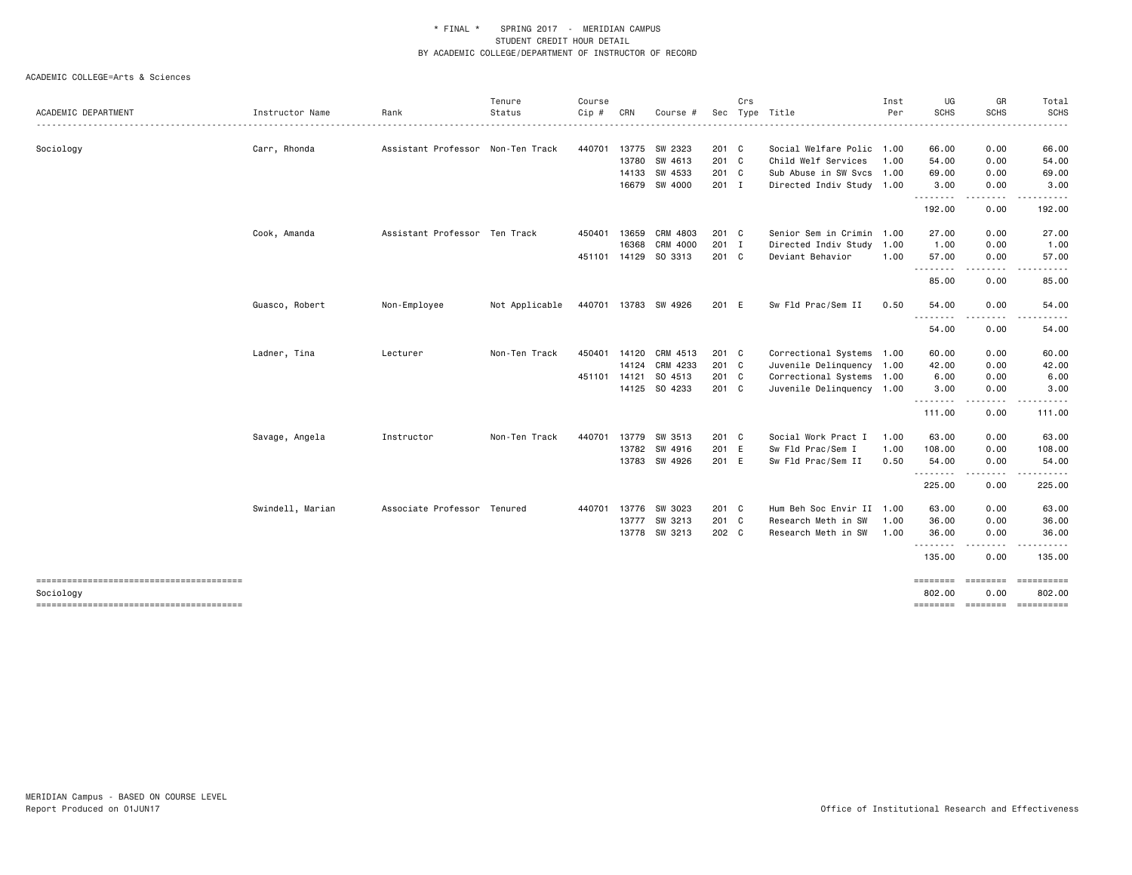|                     |                  |                                   | Tenure         | Course  |              |                      |               | Crs |                           | Inst | UG          | GR          | Total                                 |
|---------------------|------------------|-----------------------------------|----------------|---------|--------------|----------------------|---------------|-----|---------------------------|------|-------------|-------------|---------------------------------------|
| ACADEMIC DEPARTMENT | Instructor Name  | Rank                              | Status         | $Cip$ # | CRN          | Course #             |               |     | Sec Type Title            | Per  | <b>SCHS</b> | <b>SCHS</b> | <b>SCHS</b>                           |
| Sociology           | Carr, Rhonda     | Assistant Professor Non-Ten Track |                | 440701  |              | 13775 SW 2323        | 201 C         |     | Social Welfare Polic 1.00 |      | 66.00       | 0.00        | 66.00                                 |
|                     |                  |                                   |                |         |              | 13780 SW 4613        | 201 C         |     | Child Welf Services       | 1.00 | 54.00       | 0.00        | 54.00                                 |
|                     |                  |                                   |                |         |              | 14133 SW 4533        | 201 C         |     | Sub Abuse in SW Svcs 1.00 |      | 69.00       | 0.00        | 69.00                                 |
|                     |                  |                                   |                |         |              | 16679 SW 4000        | $201 \quad I$ |     | Directed Indiv Study 1.00 |      | 3.00<br>.   | 0.00<br>.   | 3.00<br>------                        |
|                     |                  |                                   |                |         |              |                      |               |     |                           |      | 192.00      | 0.00        | 192.00                                |
|                     | Cook, Amanda     | Assistant Professor Ten Track     |                | 450401  | 13659        | CRM 4803             | 201 C         |     | Senior Sem in Crimin 1.00 |      | 27.00       | 0.00        | 27.00                                 |
|                     |                  |                                   |                |         | 16368        | CRM 4000             | 201 I         |     | Directed Indiv Study 1.00 |      | 1.00        | 0.00        | 1.00                                  |
|                     |                  |                                   |                | 451101  |              | 14129 SO 3313        | 201 C         |     | Deviant Behavior          | 1.00 | 57.00<br>.  | 0.00        | 57.00                                 |
|                     |                  |                                   |                |         |              |                      |               |     |                           |      | 85.00       | 0.00        | 85.00                                 |
|                     | Guasco, Robert   | Non-Employee                      | Not Applicable |         |              | 440701 13783 SW 4926 | 201 E         |     | Sw Fld Prac/Sem II        | 0.50 | 54.00       | 0.00        | 54.00                                 |
|                     |                  |                                   |                |         |              |                      |               |     |                           |      | .<br>54.00  | 0.00        | 54.00                                 |
|                     | Ladner, Tina     | Lecturer                          | Non-Ten Track  | 450401  |              | 14120 CRM 4513       | 201 C         |     | Correctional Systems 1.00 |      | 60.00       | 0.00        | 60.00                                 |
|                     |                  |                                   |                |         |              | 14124 CRM 4233       | 201 C         |     | Juvenile Delinquency 1.00 |      | 42.00       | 0.00        | 42.00                                 |
|                     |                  |                                   |                |         | 451101 14121 | SO 4513              | 201 C         |     | Correctional Systems 1.00 |      | 6.00        | 0.00        | 6.00                                  |
|                     |                  |                                   |                |         |              | 14125 SO 4233        | 201 C         |     | Juvenile Delinquency 1.00 |      | 3.00<br>.   | 0.00<br>.   | 3.00                                  |
|                     |                  |                                   |                |         |              |                      |               |     |                           |      | 111.00      | 0.00        | 111.00                                |
|                     | Savage, Angela   | Instructor                        | Non-Ten Track  | 440701  |              | 13779 SW 3513        | 201 C         |     | Social Work Pract I       | 1.00 | 63.00       | 0.00        | 63.00                                 |
|                     |                  |                                   |                |         |              | 13782 SW 4916        | 201 E         |     | Sw Fld Prac/Sem I         | 1.00 | 108.00      | 0.00        | 108.00                                |
|                     |                  |                                   |                |         |              | 13783 SW 4926        | 201 E         |     | Sw Fld Prac/Sem II        | 0.50 | 54.00<br>.  | 0.00<br>.   | 54.00                                 |
|                     |                  |                                   |                |         |              |                      |               |     |                           |      | 225.00      | 0.00        | 225.00                                |
|                     | Swindell, Marian | Associate Professor Tenured       |                | 440701  |              | 13776 SW 3023        | 201 C         |     | Hum Beh Soc Envir II 1.00 |      | 63.00       | 0.00        | 63.00                                 |
|                     |                  |                                   |                |         |              | 13777 SW 3213        | 201 C         |     | Research Meth in SW       | 1.00 | 36.00       | 0.00        | 36.00                                 |
|                     |                  |                                   |                |         |              | 13778 SW 3213        | 202 C         |     | Research Meth in SW       | 1.00 | 36.00<br>.  | 0.00        | 36.00                                 |
|                     |                  |                                   |                |         |              |                      |               |     |                           |      | 135.00      | 0.00        | 135.00                                |
|                     |                  |                                   |                |         |              |                      |               |     |                           |      | ========    | ========    | ==========                            |
| Sociology           |                  |                                   |                |         |              |                      |               |     |                           |      | 802.00      | 0.00        | 802.00<br>======== ======== ========= |
|                     |                  |                                   |                |         |              |                      |               |     |                           |      |             |             |                                       |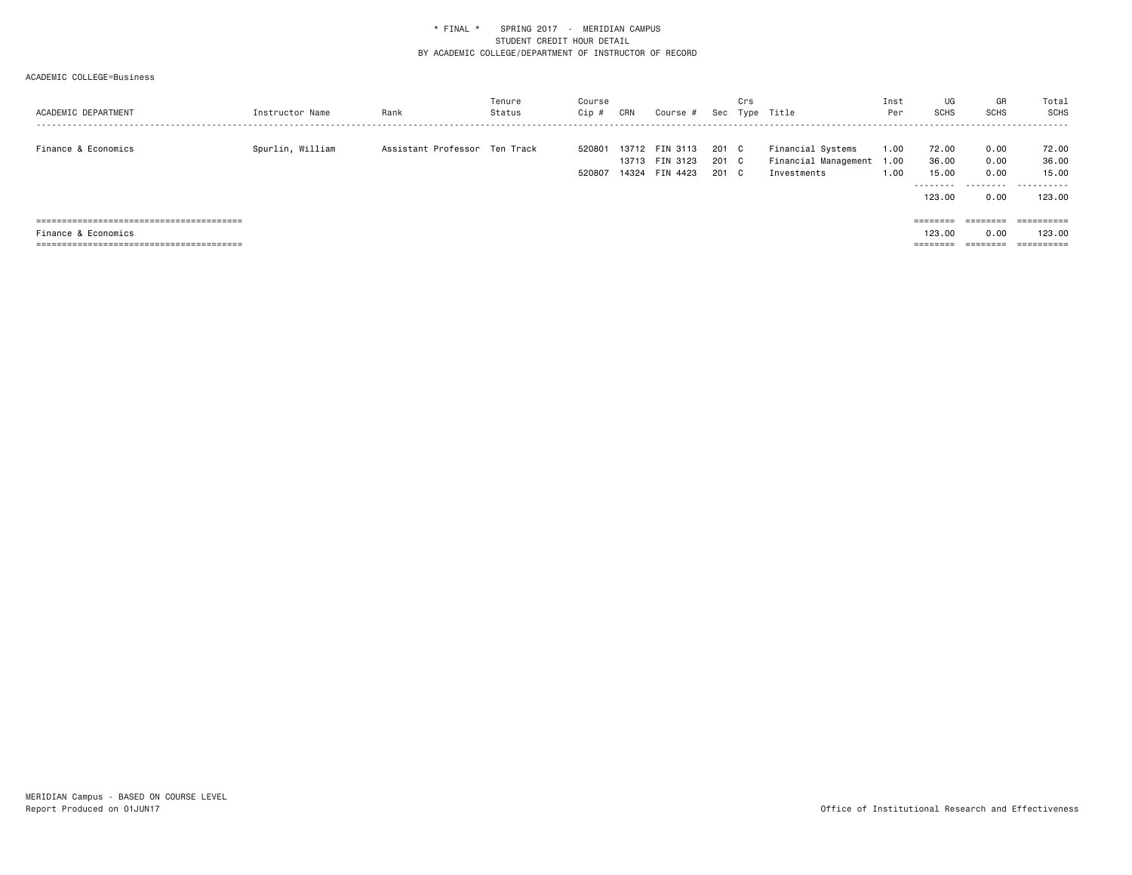| ACADEMIC DEPARTMENT | Instructor Name  | Rank                          | Tenure<br>Status | Course<br>Cip #  | CRN   | Course #                                     |                       | Crs          | Sec Type Title                                                | Inst<br>Per  | UG<br><b>SCHS</b>                    | GR<br><b>SCHS</b>                                                       | Total<br>SCHS                |
|---------------------|------------------|-------------------------------|------------------|------------------|-------|----------------------------------------------|-----------------------|--------------|---------------------------------------------------------------|--------------|--------------------------------------|-------------------------------------------------------------------------|------------------------------|
| Finance & Economics | Spurlin, William | Assistant Professor Ten Track |                  | 520801<br>520807 | 14324 | 13712 FIN 3113<br>13713 FIN 3123<br>FIN 4423 | 201 C<br>201 C<br>201 | $\mathbf{C}$ | Financial Systems<br>Financial Management 1.00<br>Investments | 1.00<br>1.00 | 72.00<br>36.00<br>15.00<br>--------- | 0.00<br>0.00<br>0.00<br>.                                               | 72.00<br>36.00<br>15.00<br>. |
|                     |                  |                               |                  |                  |       |                                              |                       |              |                                                               |              | 123.00                               | 0.00                                                                    | 123.00                       |
|                     |                  |                               |                  |                  |       |                                              |                       |              |                                                               |              | ========                             | $\qquad \qquad \equiv \equiv \equiv \equiv \equiv \equiv \equiv \equiv$ |                              |
| Finance & Economics |                  |                               |                  |                  |       |                                              |                       |              |                                                               |              | 123,00                               | 0.00                                                                    | 123.00                       |
|                     |                  |                               |                  |                  |       |                                              |                       |              |                                                               |              | ========                             | ========                                                                | ==========                   |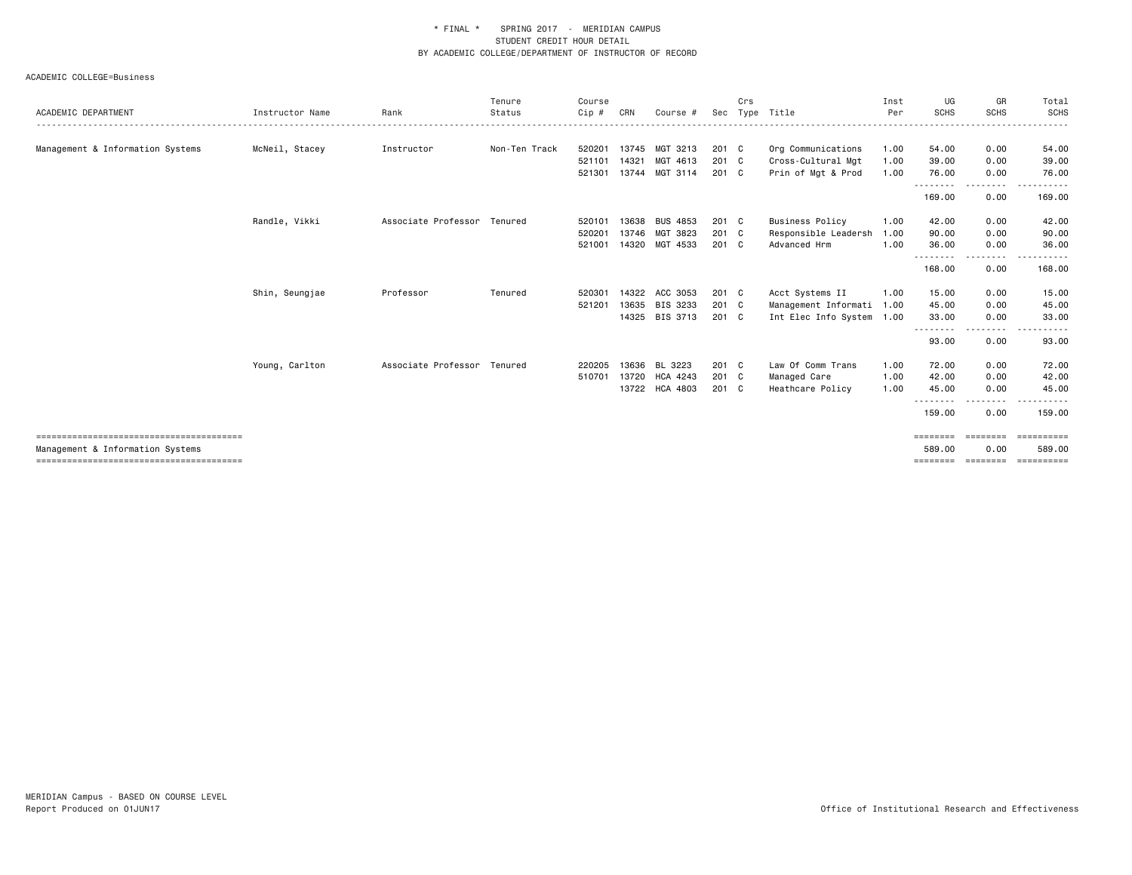| ACADEMIC DEPARTMENT              | Instructor Name | Rank                        | Tenure<br>Status | Course<br>Cip # | CRN   | Course #        | Sec           | Crs | Type Title                               | Inst<br>Per  | UG<br><b>SCHS</b>   | GR<br><b>SCHS</b> | Total<br>SCHS                                                                                                            |
|----------------------------------|-----------------|-----------------------------|------------------|-----------------|-------|-----------------|---------------|-----|------------------------------------------|--------------|---------------------|-------------------|--------------------------------------------------------------------------------------------------------------------------|
| Management & Information Systems | McNeil, Stacey  | Instructor                  | Non-Ten Track    | 520201          | 13745 | MGT 3213        | 201 C         |     |                                          |              | 54.00               | 0.00              | 54.00                                                                                                                    |
|                                  |                 |                             |                  | 521101          | 14321 | MGT 4613        | $201$ C       |     | Org Communications<br>Cross-Cultural Mgt | 1.00<br>1.00 | 39.00               | 0.00              | 39.00                                                                                                                    |
|                                  |                 |                             |                  | 521301          | 13744 | MGT 3114        | 201 C         |     | Prin of Mgt & Prod                       | 1.00         | 76.00               | 0.00              | 76.00                                                                                                                    |
|                                  |                 |                             |                  |                 |       |                 |               |     |                                          |              | --------            | --------          | .                                                                                                                        |
|                                  |                 |                             |                  |                 |       |                 |               |     |                                          |              | 169.00              | 0.00              | 169.00                                                                                                                   |
|                                  | Randle, Vikki   | Associate Professor         | Tenured          | 520101          | 13638 | <b>BUS 4853</b> | $201 \quad C$ |     | <b>Business Policy</b>                   | 1.00         | 42.00               | 0.00              | 42.00                                                                                                                    |
|                                  |                 |                             |                  | 520201          | 13746 | MGT 3823        | 201 C         |     | Responsible Leadersh                     | 1.00         | 90.00               | 0.00              | 90.00                                                                                                                    |
|                                  |                 |                             |                  | 521001          | 14320 | MGT 4533        | 201 C         |     | Advanced Hrm                             | 1.00         | 36.00               | 0.00              | 36.00                                                                                                                    |
|                                  |                 |                             |                  |                 |       |                 |               |     |                                          |              | --------<br>168,00  | --------<br>0.00  | .<br>168,00                                                                                                              |
|                                  | Shin, Seungjae  | Professor                   | Tenured          | 520301          |       | 14322 ACC 3053  | 201 C         |     | Acct Systems II                          | 1.00         | 15.00               | 0.00              | 15.00                                                                                                                    |
|                                  |                 |                             |                  | 521201          | 13635 | BIS 3233        | $201 \quad C$ |     | Management Informati 1.00                |              | 45.00               | 0.00              | 45.00                                                                                                                    |
|                                  |                 |                             |                  |                 | 14325 | BIS 3713        | 201 C         |     | Int Elec Info System 1.00                |              | 33.00               | 0.00              | 33.00                                                                                                                    |
|                                  |                 |                             |                  |                 |       |                 |               |     |                                          |              | --------<br>93.00   | --------<br>0.00  | $\begin{array}{cccccccccccccc} \bullet & \bullet & \bullet & \bullet & \bullet & \bullet & \bullet \end{array}$<br>93.00 |
|                                  | Young, Carlton  | Associate Professor Tenured |                  | 220205          | 13636 | BL 3223         | 201 C         |     | Law Of Comm Trans                        | 1.00         | 72.00               | 0.00              | 72.00                                                                                                                    |
|                                  |                 |                             |                  | 510701          | 13720 | <b>HCA 4243</b> | 201 C         |     | Managed Care                             | 1.00         | 42.00               | 0.00              | 42.00                                                                                                                    |
|                                  |                 |                             |                  |                 | 13722 | <b>HCA 4803</b> | 201 C         |     | Heathcare Policy                         | 1.00         | 45.00               | 0.00              | 45.00                                                                                                                    |
|                                  |                 |                             |                  |                 |       |                 |               |     |                                          |              | ---------<br>159.00 | $- - - -$<br>0.00 | -----<br>159.00                                                                                                          |
|                                  |                 |                             |                  |                 |       |                 |               |     |                                          |              | ========            | - cooppool        | ==========                                                                                                               |
| Management & Information Systems |                 |                             |                  |                 |       |                 |               |     |                                          |              | 589.00              | 0.00              | 589.00                                                                                                                   |
|                                  |                 |                             |                  |                 |       |                 |               |     |                                          |              | $=$ = = = = = = =   | ========          | $=$ = = = = = = = = =                                                                                                    |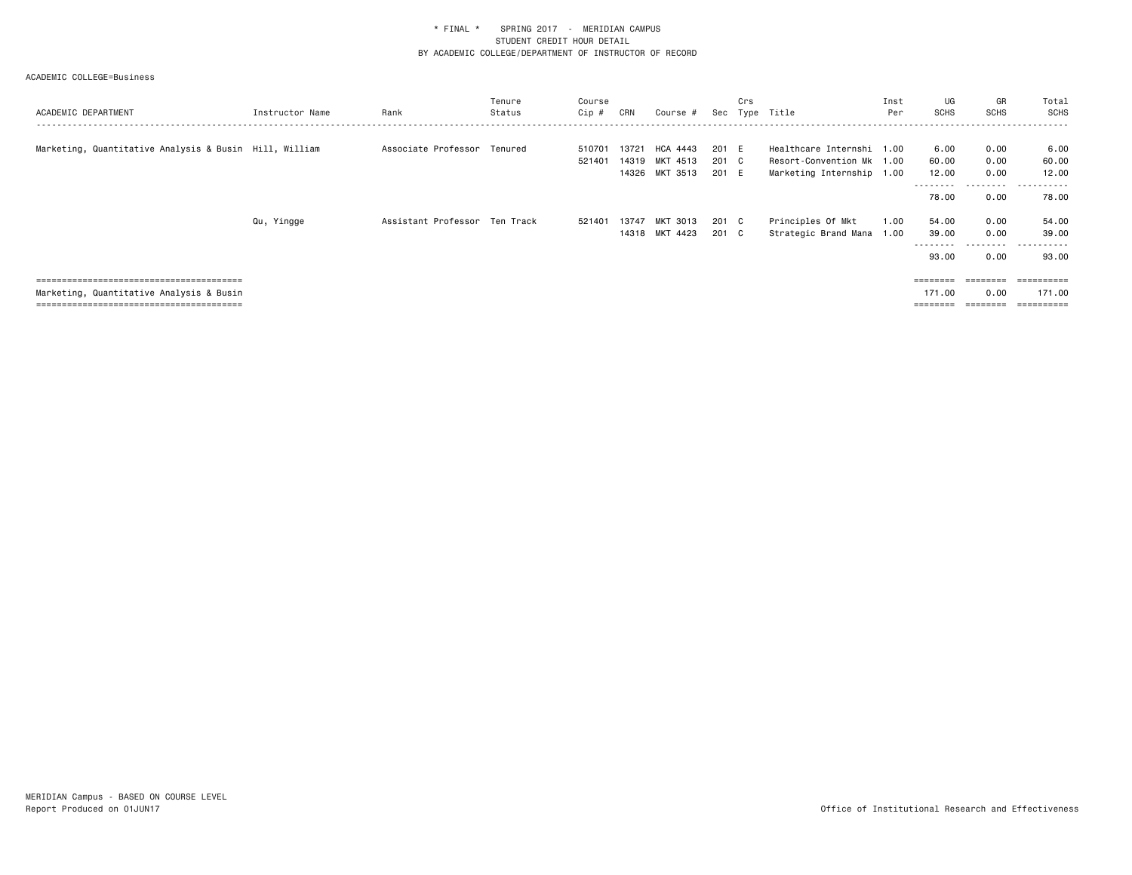| ACADEMIC DEPARTMENT                                    | Instructor Name | Rank                          | Tenure<br>Status | Course<br>Cip #  | CRN   | Course #        | Sec   | Crs | Type Title                | Inst<br>Per | UG<br><b>SCHS</b> | GR<br>SCHS     | Total<br><b>SCHS</b> |
|--------------------------------------------------------|-----------------|-------------------------------|------------------|------------------|-------|-----------------|-------|-----|---------------------------|-------------|-------------------|----------------|----------------------|
| Marketing, Quantitative Analysis & Busin Hill, William |                 | Associate Professor Tenured   |                  |                  | 13721 | <b>HCA 4443</b> | 201 E |     | Healthcare Internshi 1.00 |             | 6.00              | 0.00           |                      |
|                                                        |                 |                               |                  | 510701<br>521401 |       | 14319 MKT 4513  | 201 C |     | Resort-Convention Mk 1.00 |             | 60.00             | 0.00           | 6.00<br>60.00        |
|                                                        |                 |                               |                  |                  |       |                 | 201 E |     |                           |             |                   |                |                      |
|                                                        |                 |                               |                  |                  |       | 14326 MKT 3513  |       |     | Marketing Internship 1.00 |             | 12.00<br>.        | 0.00<br>------ | 12.00<br>.           |
|                                                        |                 |                               |                  |                  |       |                 |       |     |                           |             | 78.00             | 0.00           | 78.00                |
|                                                        | Qu, Yingge      | Assistant Professor Ten Track |                  | 521401           | 13747 | MKT 3013        | 201 C |     | Principles Of Mkt         | 1.00        | 54.00             | 0.00           | 54.00                |
|                                                        |                 |                               |                  |                  |       | 14318 MKT 4423  | 201 C |     | Strategic Brand Mana 1.00 |             | 39.00             | 0.00           | 39.00                |
|                                                        |                 |                               |                  |                  |       |                 |       |     |                           |             | 93.00             | ------<br>0.00 | ------<br>93.00      |
|                                                        |                 |                               |                  |                  |       |                 |       |     |                           |             |                   |                |                      |
| Marketing, Quantitative Analysis & Busin               |                 |                               |                  |                  |       |                 |       |     |                           |             | 171.00            | 0.00           | 171.00               |
|                                                        |                 |                               |                  |                  |       |                 |       |     |                           |             |                   |                |                      |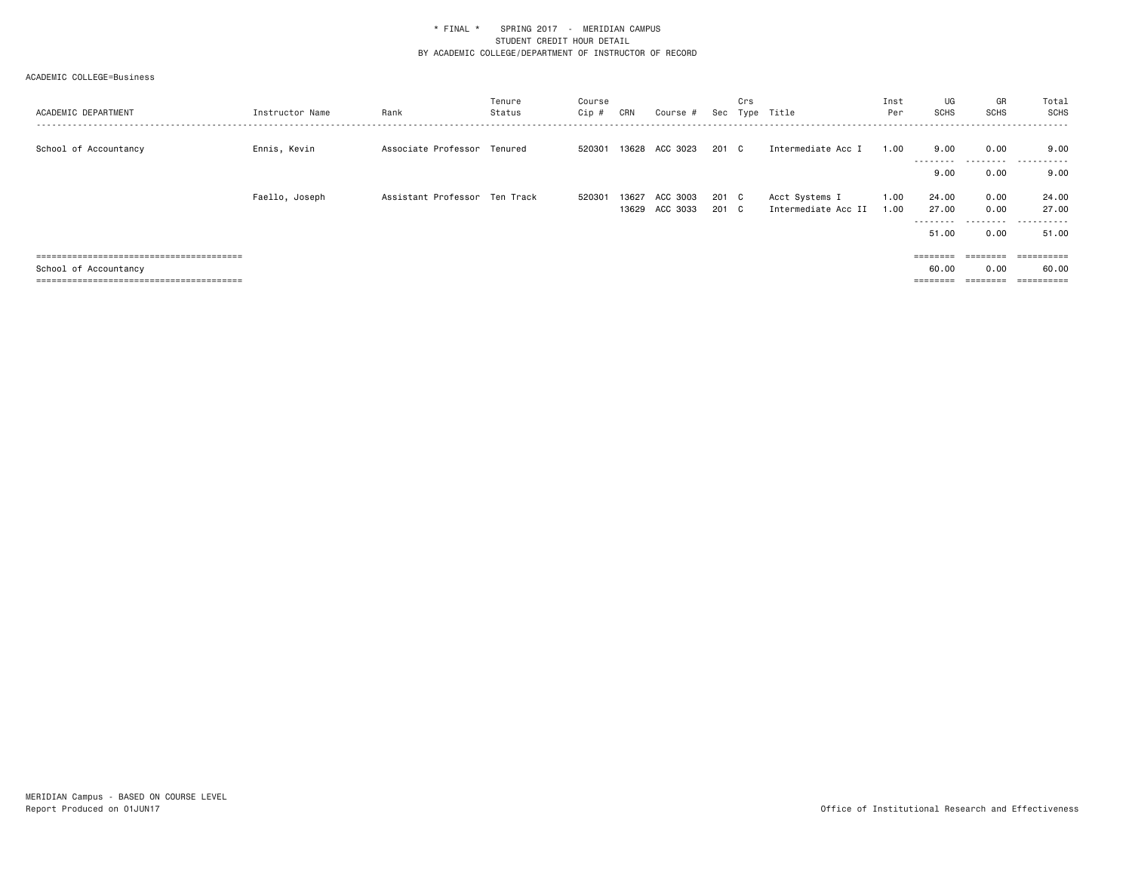| ACADEMIC DEPARTMENT   | Instructor Name | Rank                          | Tenure<br>Status | Course<br>Cip # | CRN            | Course #             |                | Crs | Sec Type Title                        | Inst<br>Per  | UG<br><b>SCHS</b>                    | GR<br>SCHS                            | Total<br><b>SCHS</b>         |
|-----------------------|-----------------|-------------------------------|------------------|-----------------|----------------|----------------------|----------------|-----|---------------------------------------|--------------|--------------------------------------|---------------------------------------|------------------------------|
| School of Accountancy | Ennis, Kevin    | Associate Professor Tenured   |                  | 520301          |                | 13628 ACC 3023       | 201 C          |     | Intermediate Acc I                    | 1.00         | 9.00<br>---------                    | 0.00                                  | 9.00<br>.                    |
|                       |                 |                               |                  |                 |                |                      |                |     |                                       |              | 9.00                                 | 0.00                                  | 9.00                         |
|                       | Faello, Joseph  | Assistant Professor Ten Track |                  | 520301          | 13627<br>13629 | ACC 3003<br>ACC 3033 | 201 C<br>201 C |     | Acct Systems I<br>Intermediate Acc II | 1.00<br>1.00 | 24.00<br>27.00<br>---------<br>51.00 | 0.00<br>0.00<br>---------<br>0.00     | 24.00<br>27.00<br>.<br>51.00 |
| School of Accountancy |                 |                               |                  |                 |                |                      |                |     |                                       |              | 60.00<br>========                    | $=$ = = = = = = =<br>0.00<br>======== | 60.00                        |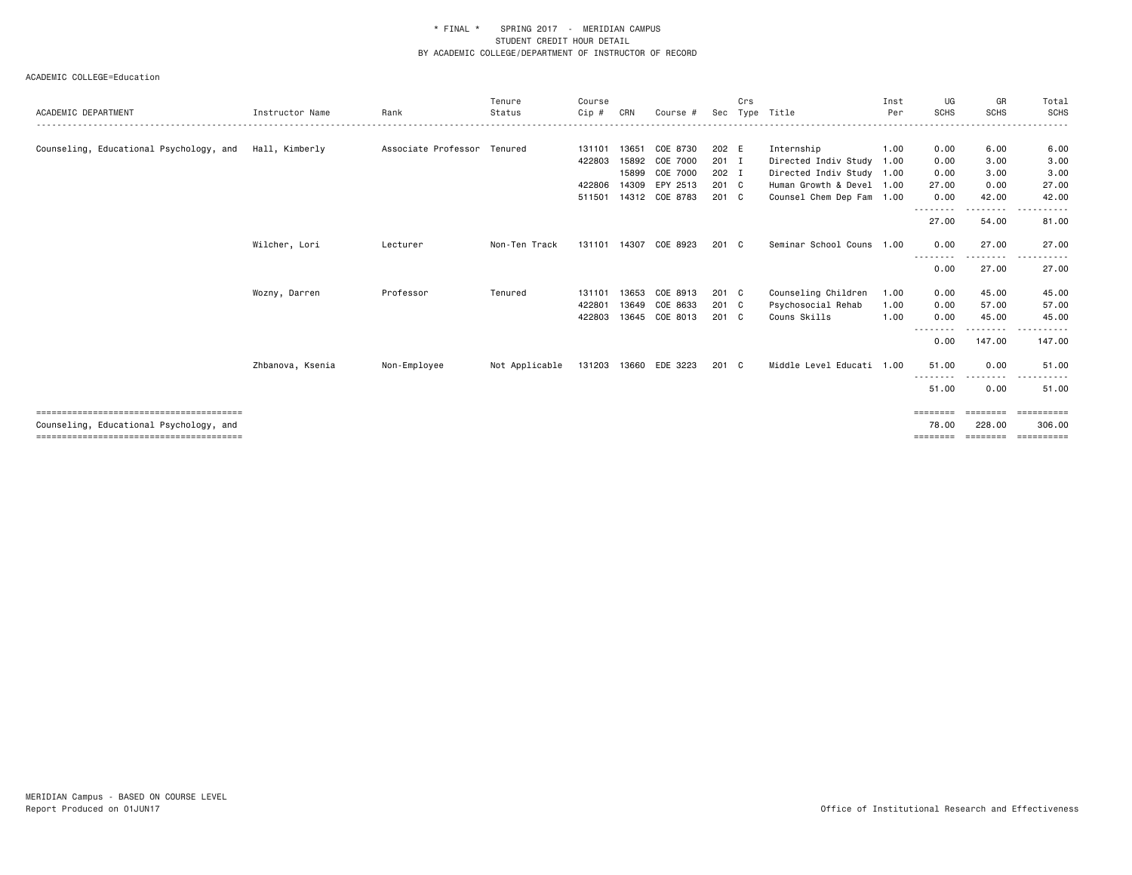| ACADEMIC DEPARTMENT                     | Instructor Name  | Rank                        | Tenure<br>Status | Course<br>Cip # | CRN   | Course #       | Sec   | Crs | Type Title                | Inst<br>Per | UG<br><b>SCHS</b> | GR<br><b>SCHS</b>     | Total<br><b>SCHS</b>                                                                                                                                          |
|-----------------------------------------|------------------|-----------------------------|------------------|-----------------|-------|----------------|-------|-----|---------------------------|-------------|-------------------|-----------------------|---------------------------------------------------------------------------------------------------------------------------------------------------------------|
|                                         |                  |                             |                  |                 |       |                |       |     |                           |             |                   |                       |                                                                                                                                                               |
| Counseling, Educational Psychology, and | Hall, Kimberly   | Associate Professor Tenured |                  | 131101          | 13651 | COE 8730       | 202 E |     | Internship                | 1.00        | 0.00              | 6.00                  | 6.00                                                                                                                                                          |
|                                         |                  |                             |                  | 422803          | 15892 | COE 7000       | 201 I |     | Directed Indiv Study 1.00 |             | 0.00              | 3.00                  | 3.00                                                                                                                                                          |
|                                         |                  |                             |                  |                 | 15899 | COE 7000       | 202 I |     | Directed Indiv Study 1.00 |             | 0.00              | 3.00                  | 3.00                                                                                                                                                          |
|                                         |                  |                             |                  | 422806          | 14309 | EPY 2513       | 201 C |     | Human Growth & Devel 1.00 |             | 27.00             | 0.00                  | 27.00                                                                                                                                                         |
|                                         |                  |                             |                  | 511501          | 14312 | COE 8783       | 201 C |     | Counsel Chem Dep Fam 1.00 |             | 0.00              | 42.00                 | 42.00                                                                                                                                                         |
|                                         |                  |                             |                  |                 |       |                |       |     |                           |             | --------<br>27.00 | <u>.</u><br>54.00     | $\frac{1}{2} \left( \frac{1}{2} \right) \left( \frac{1}{2} \right) \left( \frac{1}{2} \right) \left( \frac{1}{2} \right) \left( \frac{1}{2} \right)$<br>81.00 |
|                                         | Wilcher, Lori    | Lecturer                    | Non-Ten Track    | 131101          | 14307 | COE 8923       | 201 C |     | Seminar School Couns 1.00 |             | 0.00<br>--------  | 27.00<br>. <u>.</u> . | 27.00<br>.<br>$\sim$ $\sim$ $\sim$                                                                                                                            |
|                                         |                  |                             |                  |                 |       |                |       |     |                           |             | 0.00              | 27.00                 | 27.00                                                                                                                                                         |
|                                         | Wozny, Darren    | Professor                   | Tenured          | 131101          | 13653 | COE 8913       | 201 C |     | Counseling Children       | 1.00        | 0.00              | 45.00                 | 45.00                                                                                                                                                         |
|                                         |                  |                             |                  | 422801          | 13649 | COE 8633       | 201 C |     | Psychosocial Rehab        | 1.00        | 0.00              | 57.00                 | 57.00                                                                                                                                                         |
|                                         |                  |                             |                  | 422803          | 13645 | COE 8013       | 201 C |     | Couns Skills              | 1.00        | 0.00              | 45.00                 | 45.00                                                                                                                                                         |
|                                         |                  |                             |                  |                 |       |                |       |     |                           |             | --------<br>0.00  | .<br>147.00           | ------<br>147.00                                                                                                                                              |
|                                         | Zhbanova, Ksenia | Non-Employee                | Not Applicable   | 131203          |       | 13660 EDE 3223 | 201 C |     | Middle Level Educati 1.00 |             | 51.00<br><u>.</u> | 0.00<br>--------      | 51.00                                                                                                                                                         |
|                                         |                  |                             |                  |                 |       |                |       |     |                           |             | 51.00             | 0.00                  | 51.00                                                                                                                                                         |
|                                         |                  |                             |                  |                 |       |                |       |     |                           |             | ========          | ========              | eessesses                                                                                                                                                     |
| Counseling, Educational Psychology, and |                  |                             |                  |                 |       |                |       |     |                           |             | 78.00<br>======== | 228.00<br>========    | 306,00<br><b>ESSESSEES</b>                                                                                                                                    |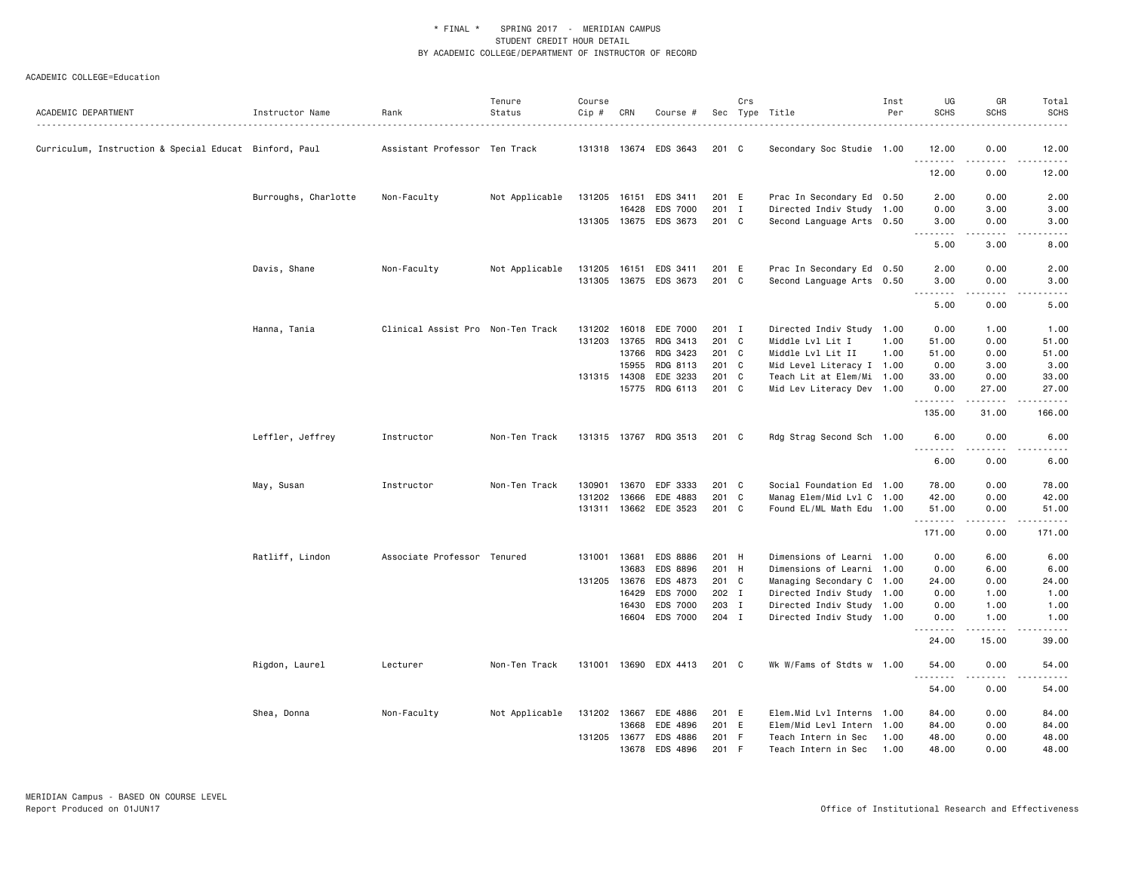| ACADEMIC DEPARTMENT                                    | Instructor Name      | Rank                              | Tenure<br>Status | Course<br>Cip # | CRN   | Course #              |       | Crs | Sec Type Title            | Inst<br>Per | UG<br><b>SCHS</b>                                                                                                                                                 | GR<br><b>SCHS</b>            | Total<br><b>SCHS</b> |
|--------------------------------------------------------|----------------------|-----------------------------------|------------------|-----------------|-------|-----------------------|-------|-----|---------------------------|-------------|-------------------------------------------------------------------------------------------------------------------------------------------------------------------|------------------------------|----------------------|
| Curriculum, Instruction & Special Educat Binford, Paul |                      | Assistant Professor Ten Track     |                  |                 |       | 131318 13674 EDS 3643 | 201 C |     | Secondary Soc Studie 1.00 |             | 12.00<br>.                                                                                                                                                        | 0.00                         | 12.00<br>.           |
|                                                        |                      |                                   |                  |                 |       |                       |       |     |                           |             | 12.00                                                                                                                                                             | 0.00                         | 12.00                |
|                                                        | Burroughs, Charlotte | Non-Faculty                       | Not Applicable   | 131205          | 16151 | EDS 3411              | 201 E |     | Prac In Secondary Ed 0.50 |             | 2.00                                                                                                                                                              | 0.00                         | 2.00                 |
|                                                        |                      |                                   |                  |                 | 16428 | EDS 7000              | 201 I |     | Directed Indiv Study 1.00 |             | 0.00                                                                                                                                                              | 3.00                         | 3.00                 |
|                                                        |                      |                                   |                  |                 |       | 131305 13675 EDS 3673 | 201 C |     | Second Language Arts 0.50 |             | 3.00<br>$\frac{1}{2}$                                                                                                                                             | 0.00<br>.                    | 3.00<br>-----        |
|                                                        |                      |                                   |                  |                 |       |                       |       |     |                           |             | 5.00                                                                                                                                                              | 3.00                         | 8.00                 |
|                                                        | Davis, Shane         | Non-Faculty                       | Not Applicable   | 131205          | 16151 | EDS 3411              | 201 E |     | Prac In Secondary Ed 0.50 |             | 2.00                                                                                                                                                              | 0.00                         | 2.00                 |
|                                                        |                      |                                   |                  | 131305          |       | 13675 EDS 3673        | 201 C |     | Second Language Arts 0.50 |             | 3.00<br>$- - - -$                                                                                                                                                 | 0.00<br>$\sim$ $\sim$ $\sim$ | 3.00<br>.            |
|                                                        |                      |                                   |                  |                 |       |                       |       |     |                           |             | 5.00                                                                                                                                                              | 0.00                         | 5.00                 |
|                                                        | Hanna, Tania         | Clinical Assist Pro Non-Ten Track |                  | 131202          | 16018 | EDE 7000              | 201 I |     | Directed Indiv Study 1.00 |             | 0.00                                                                                                                                                              | 1.00                         | 1.00                 |
|                                                        |                      |                                   |                  | 131203          | 13765 | RDG 3413              | 201 C |     | Middle Lvl Lit I          | 1.00        | 51.00                                                                                                                                                             | 0.00                         | 51.00                |
|                                                        |                      |                                   |                  |                 | 13766 | RDG 3423              | 201 C |     | Middle Lvl Lit II         | 1.00        | 51.00                                                                                                                                                             | 0.00                         | 51.00                |
|                                                        |                      |                                   |                  |                 | 15955 | RDG 8113              | 201 C |     | Mid Level Literacy I 1.00 |             | 0.00                                                                                                                                                              | 3.00                         | 3.00                 |
|                                                        |                      |                                   |                  | 131315 14308    |       | EDE 3233              | 201 C |     | Teach Lit at Elem/Mi 1.00 |             | 33.00                                                                                                                                                             | 0.00                         | 33.00                |
|                                                        |                      |                                   |                  |                 | 15775 | RDG 6113              | 201 C |     | Mid Lev Literacy Dev 1.00 |             | 0.00<br>.                                                                                                                                                         | 27.00<br>. <u>.</u>          | 27.00<br>.           |
|                                                        |                      |                                   |                  |                 |       |                       |       |     |                           |             | 135.00                                                                                                                                                            | 31.00                        | 166.00               |
|                                                        | Leffler, Jeffrey     | Instructor                        | Non-Ten Track    | 131315          |       | 13767 RDG 3513        | 201 C |     | Rdg Strag Second Sch 1.00 |             | 6.00<br>.<br>$\frac{1}{2} \left( \frac{1}{2} \right) \left( \frac{1}{2} \right) \left( \frac{1}{2} \right) \left( \frac{1}{2} \right) \left( \frac{1}{2} \right)$ | 0.00                         | 6.00<br>-----        |
|                                                        |                      |                                   |                  |                 |       |                       |       |     |                           |             | 6.00                                                                                                                                                              | 0.00                         | 6.00                 |
|                                                        | May, Susan           | Instructor                        | Non-Ten Track    | 130901          | 13670 | EDF 3333              | 201 C |     | Social Foundation Ed 1.00 |             | 78.00                                                                                                                                                             | 0.00                         | 78.00                |
|                                                        |                      |                                   |                  | 131202          | 13666 | EDE 4883              | 201 C |     | Manag Elem/Mid Lvl C 1.00 |             | 42.00                                                                                                                                                             | 0.00                         | 42.00                |
|                                                        |                      |                                   |                  |                 |       | 131311 13662 EDE 3523 | 201 C |     | Found EL/ML Math Edu 1.00 |             | 51.00<br>.                                                                                                                                                        | 0.00<br>.                    | 51.00<br>.           |
|                                                        |                      |                                   |                  |                 |       |                       |       |     |                           |             | 171.00                                                                                                                                                            | 0.00                         | 171.00               |
|                                                        | Ratliff, Lindon      | Associate Professor Tenured       |                  | 131001 13681    |       | EDS 8886              | 201 H |     | Dimensions of Learni 1.00 |             | 0.00                                                                                                                                                              | 6.00                         | 6.00                 |
|                                                        |                      |                                   |                  |                 | 13683 | EDS 8896              | 201 H |     | Dimensions of Learni 1.00 |             | 0.00                                                                                                                                                              | 6.00                         | 6.00                 |
|                                                        |                      |                                   |                  | 131205 13676    |       | EDS 4873              | 201 C |     | Managing Secondary C 1.00 |             | 24.00                                                                                                                                                             | 0.00                         | 24.00                |
|                                                        |                      |                                   |                  |                 | 16429 | EDS 7000              | 202 I |     | Directed Indiv Study 1.00 |             | 0.00                                                                                                                                                              | 1.00                         | 1.00                 |
|                                                        |                      |                                   |                  |                 | 16430 | EDS 7000              | 203 I |     | Directed Indiv Study 1.00 |             | 0.00                                                                                                                                                              | 1.00                         | 1.00                 |
|                                                        |                      |                                   |                  |                 | 16604 | EDS 7000              | 204 I |     | Directed Indiv Study 1.00 |             | 0.00                                                                                                                                                              | 1.00                         | 1.00<br>.            |
|                                                        |                      |                                   |                  |                 |       |                       |       |     |                           |             | 24.00                                                                                                                                                             | 15.00                        | 39.00                |
|                                                        | Rigdon, Laurel       | Lecturer                          | Non-Ten Track    |                 |       | 131001 13690 EDX 4413 | 201 C |     | Wk W/Fams of Stdts w 1.00 |             | 54.00<br>$\frac{1}{2} \left( \frac{1}{2} \right) \left( \frac{1}{2} \right) \left( \frac{1}{2} \right) \left( \frac{1}{2} \right) \left( \frac{1}{2} \right)$     | 0.00<br>$\frac{1}{2}$        | 54.00<br>$   -$      |
|                                                        |                      |                                   |                  |                 |       |                       |       |     |                           |             | 54.00                                                                                                                                                             | 0.00                         | 54.00                |
|                                                        | Shea, Donna          | Non-Faculty                       | Not Applicable   | 131202          | 13667 | EDE 4886              | 201 E |     | Elem.Mid Lvl Interns 1.00 |             | 84.00                                                                                                                                                             | 0.00                         | 84.00                |
|                                                        |                      |                                   |                  |                 | 13668 | EDE 4896              | 201 E |     | Elem/Mid Levl Intern      | 1.00        | 84.00                                                                                                                                                             | 0.00                         | 84.00                |
|                                                        |                      |                                   |                  | 131205          | 13677 | EDS 4886              | 201 F |     | Teach Intern in Sec       | 1.00        | 48.00                                                                                                                                                             | 0.00                         | 48.00                |
|                                                        |                      |                                   |                  |                 | 13678 | EDS 4896              | 201 F |     | Teach Intern in Sec       | 1.00        | 48.00                                                                                                                                                             | 0.00                         | 48.00                |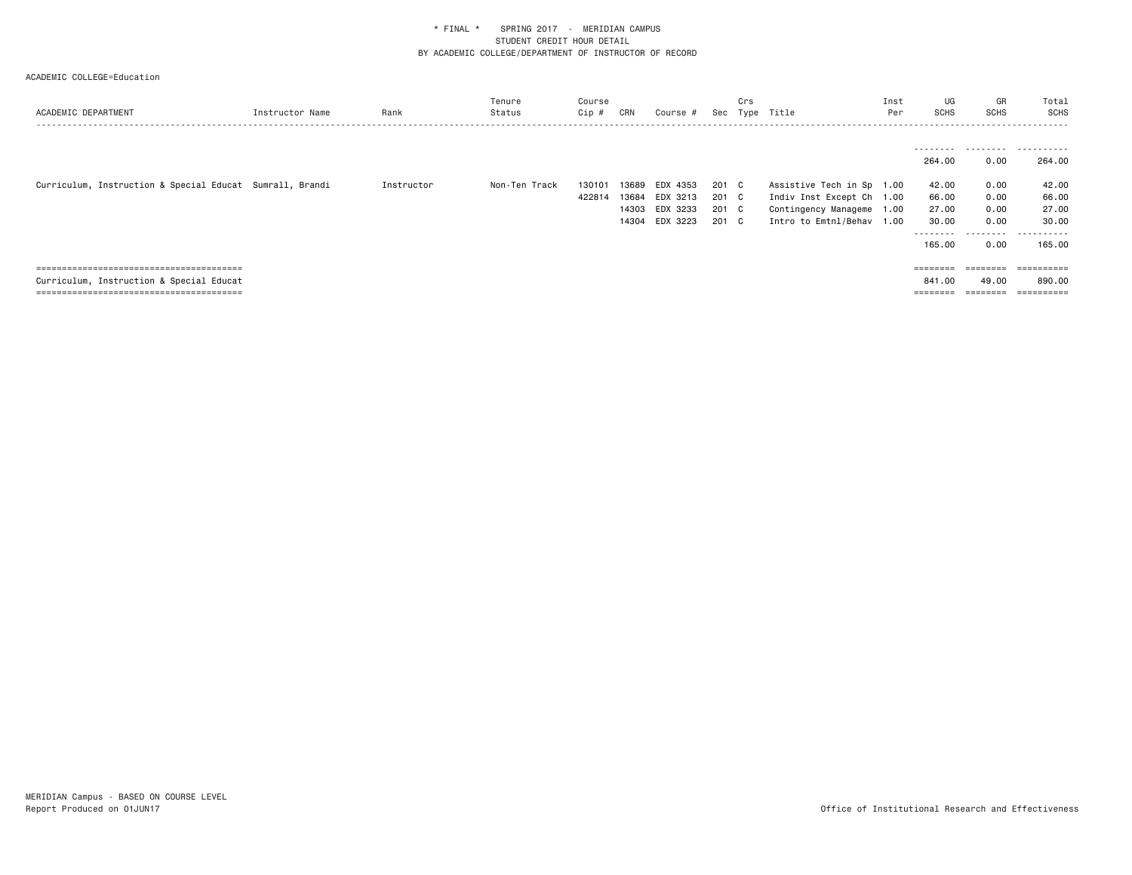| ACADEMIC DEPARTMENT                                      | Instructor Name | Rank       | Tenure<br>Status | Course<br>$Cip$ # | CRN   | Course # | Sec   | Crs | Type Title                | Inst<br>Per | UG<br><b>SCHS</b>   | GR<br><b>SCHS</b> | Total<br>SCHS<br>. |
|----------------------------------------------------------|-----------------|------------|------------------|-------------------|-------|----------|-------|-----|---------------------------|-------------|---------------------|-------------------|--------------------|
|                                                          |                 |            |                  |                   |       |          |       |     |                           |             |                     |                   |                    |
|                                                          |                 |            |                  |                   |       |          |       |     |                           |             | ---------<br>264.00 | 0.00              | .<br>264,00        |
| Curriculum, Instruction & Special Educat Sumrall, Brandi |                 | Instructor | Non-Ten Track    | 130101            | 13689 | EDX 4353 | 201 C |     | Assistive Tech in Sp 1.00 |             | 42.00               | 0.00              | 42.00              |
|                                                          |                 |            |                  | 422814            | 13684 | EDX 3213 | 201 C |     | Indiv Inst Except Ch 1.00 |             | 66.00               | 0.00              | 66.00              |
|                                                          |                 |            |                  |                   | 14303 | EDX 3233 | 201 C |     | Contingency Manageme      | 1.00        | 27.00               | 0.00              | 27.00              |
|                                                          |                 |            |                  |                   | 14304 | EDX 3223 | 201 C |     | Intro to Emtnl/Behav      | 1.00        | 30.00               | 0.00              | 30.00              |
|                                                          |                 |            |                  |                   |       |          |       |     |                           |             | ---------           | ---------         | .                  |
|                                                          |                 |            |                  |                   |       |          |       |     |                           |             | 165.00              | 0.00              | 165,00             |
|                                                          |                 |            |                  |                   |       |          |       |     |                           |             |                     |                   |                    |
|                                                          |                 |            |                  |                   |       |          |       |     |                           |             | $=$ = = = = = = =   | ========          | -----------        |
| Curriculum, Instruction & Special Educat                 |                 |            |                  |                   |       |          |       |     |                           |             | 841,00              | 49.00             | 890.00             |
|                                                          |                 |            |                  |                   |       |          |       |     |                           |             | ========            | ========          |                    |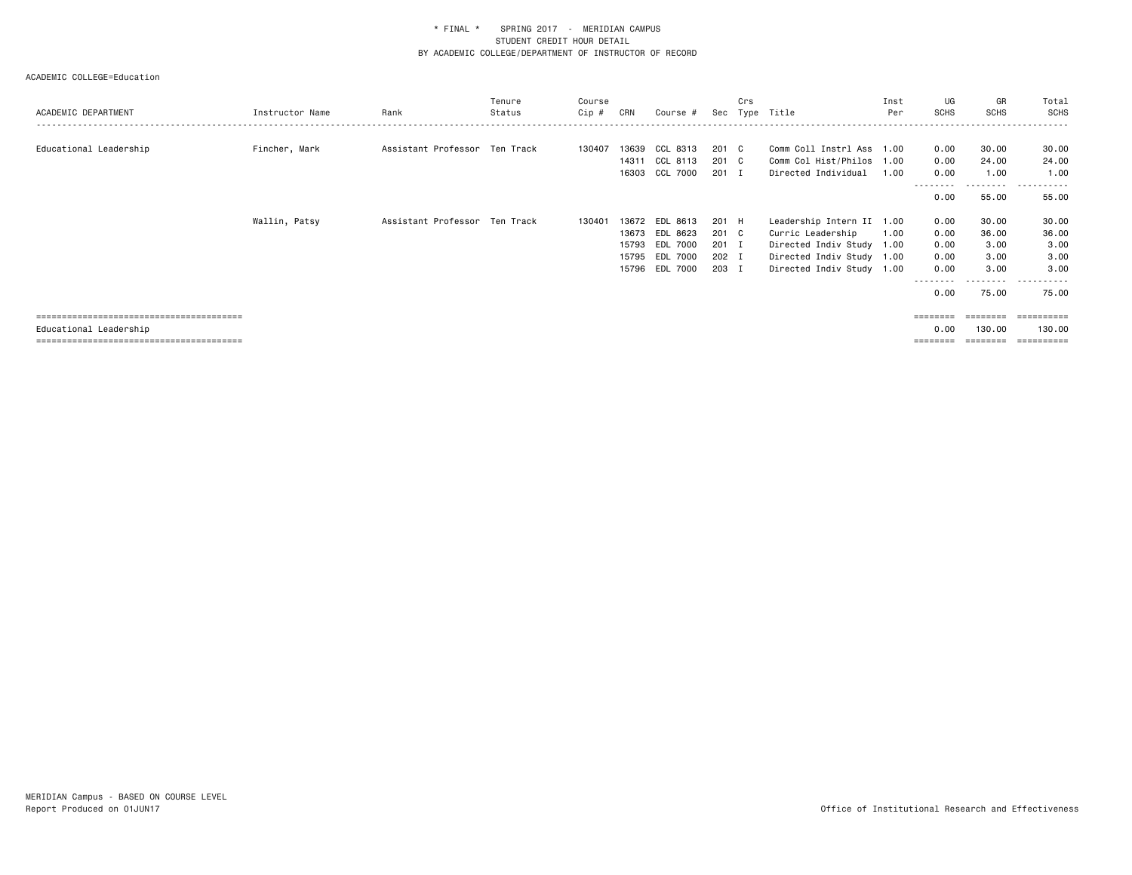# ACADEMIC COLLEGE=Education

| ACADEMIC DEPARTMENT    | Instructor Name | Rank                          | Tenure<br>Status | Course<br>Cip # | CRN | Course #       |       | Crs | Sec Type Title            | Inst<br>Per | UG<br><b>SCHS</b> | GR<br><b>SCHS</b>  | Total<br><b>SCHS</b> |
|------------------------|-----------------|-------------------------------|------------------|-----------------|-----|----------------|-------|-----|---------------------------|-------------|-------------------|--------------------|----------------------|
|                        |                 |                               |                  |                 |     |                |       |     |                           |             |                   |                    |                      |
| Educational Leadership | Fincher, Mark   | Assistant Professor Ten Track |                  | 130407          |     | 13639 CCL 8313 | 201 C |     | Comm Coll Instrl Ass 1.00 |             | 0.00              | 30.00              | 30.00                |
|                        |                 |                               |                  |                 |     | 14311 CCL 8113 | 201 C |     | Comm Col Hist/Philos 1.00 |             | 0.00              | 24.00              | 24.00                |
|                        |                 |                               |                  |                 |     | 16303 CCL 7000 | 201 I |     | Directed Individual       | 1.00        | 0.00              | 1.00               | 1.00                 |
|                        |                 |                               |                  |                 |     |                |       |     |                           |             | 0.00              | ---------<br>55.00 | .<br>55.00           |
|                        | Wallin, Patsy   | Assistant Professor Ten Track |                  | 130401          |     | 13672 EDL 8613 | 201 H |     | Leadership Intern II 1.00 |             | 0.00              | 30.00              | 30.00                |
|                        |                 |                               |                  |                 |     | 13673 EDL 8623 | 201 C |     | Curric Leadership         | 1.00        | 0.00              | 36.00              | 36.00                |
|                        |                 |                               |                  |                 |     | 15793 EDL 7000 | 201 I |     | Directed Indiv Study 1.00 |             | 0.00              | 3.00               | 3.00                 |
|                        |                 |                               |                  |                 |     | 15795 EDL 7000 | 202 I |     | Directed Indiv Study 1.00 |             | 0.00              | 3.00               | 3.00                 |
|                        |                 |                               |                  |                 |     | 15796 EDL 7000 | 203 I |     | Directed Indiv Study 1.00 |             | 0.00              | 3.00               | 3.00                 |
|                        |                 |                               |                  |                 |     |                |       |     |                           |             | 0.00              | ---------<br>75.00 | .<br>75.00           |

 ======================================== ======== ======== ==========Educational Leadership 0.00 130.00 130.00

======================================== ======== ======== ==========